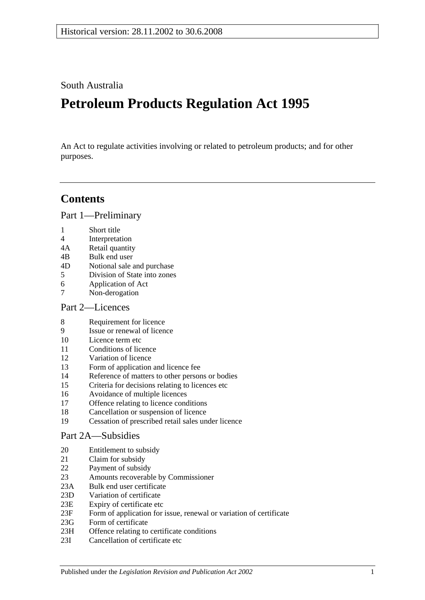South Australia

# **Petroleum Products Regulation Act 1995**

An Act to regulate activities involving or related to petroleum products; and for other purposes.

## **Contents**

[Part 1—Preliminary](#page-2-0)

- 1 [Short title](#page-2-1)
- 4 [Interpretation](#page-2-2)
- 4A [Retail quantity](#page-5-0)
- 4B [Bulk end user](#page-5-1)
- 4D [Notional sale and purchase](#page-6-0)
- 5 [Division of State into zones](#page-6-1)
- 6 [Application of Act](#page-6-2)
- 7 [Non-derogation](#page-7-0)

## [Part 2—Licences](#page-7-1)

- 8 [Requirement for licence](#page-7-2)
- 9 [Issue or renewal of licence](#page-7-3)
- 10 [Licence term etc](#page-7-4)
- 11 [Conditions of licence](#page-8-0)
- 12 [Variation of licence](#page-8-1)
- 13 [Form of application and licence fee](#page-9-0)
- 14 [Reference of matters to other persons or bodies](#page-9-1)
- 15 [Criteria for decisions relating to licences etc](#page-10-0)
- 16 [Avoidance of multiple licences](#page-11-0)
- 17 [Offence relating to licence conditions](#page-11-1)
- 18 [Cancellation or suspension of licence](#page-11-2)
- 19 [Cessation of prescribed retail sales under licence](#page-11-3)

## [Part 2A—Subsidies](#page-11-4)

- 20 [Entitlement to subsidy](#page-11-5)
- 21 [Claim for subsidy](#page-12-0)
- 22 [Payment of subsidy](#page-12-1)
- 23 [Amounts recoverable by Commissioner](#page-13-0)
- 23A [Bulk end user certificate](#page-14-0)
- 23D [Variation of certificate](#page-14-1)
- 23E [Expiry of certificate etc](#page-15-0)
- 23F [Form of application for issue, renewal or variation of certificate](#page-15-1)
- 23G [Form of certificate](#page-15-2)
- 23H [Offence relating to certificate conditions](#page-15-3)
- 23I [Cancellation of certificate etc](#page-15-4)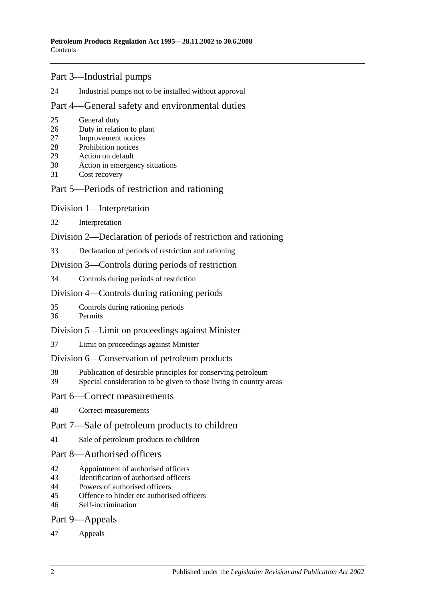## [Part 3—Industrial pumps](#page-16-0)

[Industrial pumps not to be installed without approval](#page-16-1)

## [Part 4—General safety and environmental duties](#page-16-2)

- [General duty](#page-16-3)
- [Duty in relation to plant](#page-16-4)
- [Improvement notices](#page-17-0)
- [Prohibition notices](#page-18-0)
- [Action on default](#page-18-1)
- [Action in emergency situations](#page-19-0)
- [Cost recovery](#page-19-1)

## [Part 5—Periods of restriction and rationing](#page-21-0)

## [Division 1—Interpretation](#page-21-1)

[Interpretation](#page-21-2)

## [Division 2—Declaration of periods of restriction and rationing](#page-21-3)

[Declaration of periods of restriction and rationing](#page-21-4)

## [Division 3—Controls during periods of restriction](#page-22-0)

[Controls during periods of restriction](#page-22-1)

## [Division 4—Controls during rationing periods](#page-23-0)

- [Controls during rationing periods](#page-23-1)
- [Permits](#page-23-2)

## [Division 5—Limit on proceedings against Minister](#page-24-0)

[Limit on proceedings against Minister](#page-24-1)

## [Division 6—Conservation of petroleum products](#page-24-2)

- [Publication of desirable principles for conserving petroleum](#page-24-3)
- [Special consideration to be given to those living in country areas](#page-24-4)

## [Part 6—Correct measurements](#page-24-5)

[Correct measurements](#page-24-6)

## [Part 7—Sale of petroleum products to children](#page-25-0)

[Sale of petroleum products to children](#page-25-1)

## [Part 8—Authorised officers](#page-25-2)

- [Appointment of authorised officers](#page-25-3)
- [Identification of authorised officers](#page-25-4)
- [Powers of authorised officers](#page-26-0)
- [Offence to hinder etc authorised officers](#page-27-0)
- [Self-incrimination](#page-27-1)

## [Part 9—Appeals](#page-28-0)

## [Appeals](#page-28-1)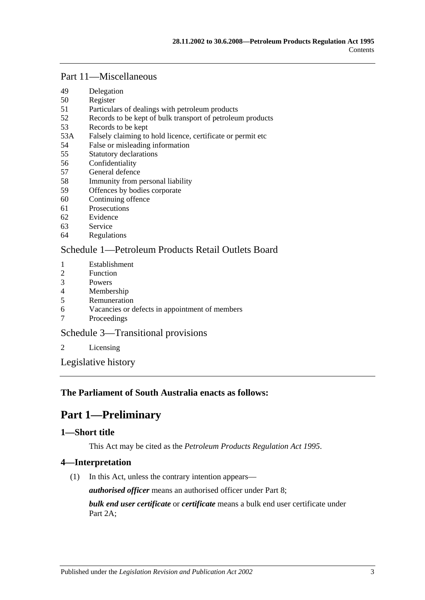## [Part 11—Miscellaneous](#page-29-0)

- 49 [Delegation](#page-29-1)
- 50 [Register](#page-30-0)
- 51 [Particulars of dealings with petroleum products](#page-30-1)
- 52 [Records to be kept of bulk transport of petroleum products](#page-30-2)
- 53 [Records to be kept](#page-30-3)
- 53A [Falsely claiming to hold licence, certificate or permit etc](#page-31-0)
- 54 [False or misleading information](#page-31-1)
- 55 [Statutory declarations](#page-31-2)
- 56 [Confidentiality](#page-31-3)
- 57 [General defence](#page-32-0)
- 58 [Immunity from personal liability](#page-32-1)
- 59 [Offences by bodies corporate](#page-33-0)
- 60 [Continuing offence](#page-33-1)
- 61 [Prosecutions](#page-33-2)
- 62 [Evidence](#page-33-3)
- 63 [Service](#page-34-0)
- 64 [Regulations](#page-34-1)

## [Schedule 1—Petroleum Products Retail Outlets Board](#page-35-0)

- 1 [Establishment](#page-35-1)<br>2 Function
- **[Function](#page-35-2)**
- 3 [Powers](#page-35-3)
- 4 [Membership](#page-36-0)
- 5 [Remuneration](#page-36-1)
- 6 [Vacancies or defects in appointment of members](#page-36-2)
- 7 [Proceedings](#page-37-0)

## Schedule [3—Transitional provisions](#page-37-1)

2 [Licensing](#page-37-2)

[Legislative history](#page-39-0)

## <span id="page-2-0"></span>**The Parliament of South Australia enacts as follows:**

## **Part 1—Preliminary**

## <span id="page-2-1"></span>**1—Short title**

This Act may be cited as the *Petroleum Products Regulation Act 1995*.

## <span id="page-2-2"></span>**4—Interpretation**

(1) In this Act, unless the contrary intention appears—

*authorised officer* means an authorised officer under [Part 8;](#page-25-2)

*bulk end user certificate* or *certificate* means a bulk end user certificate under [Part](#page-11-4) 2A: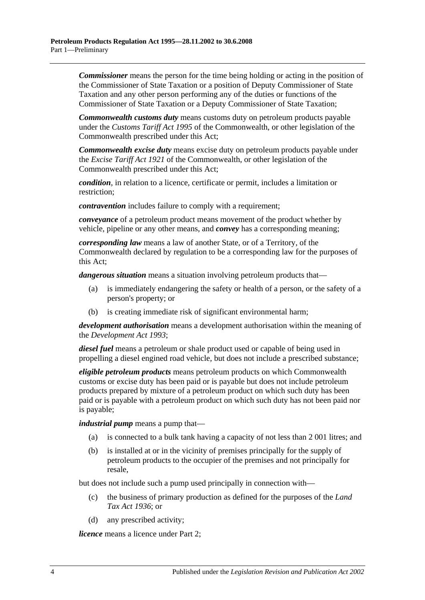*Commissioner* means the person for the time being holding or acting in the position of the Commissioner of State Taxation or a position of Deputy Commissioner of State Taxation and any other person performing any of the duties or functions of the Commissioner of State Taxation or a Deputy Commissioner of State Taxation;

*Commonwealth customs duty* means customs duty on petroleum products payable under the *Customs Tariff Act 1995* of the Commonwealth, or other legislation of the Commonwealth prescribed under this Act;

*Commonwealth excise duty* means excise duty on petroleum products payable under the *Excise Tariff Act 1921* of the Commonwealth, or other legislation of the Commonwealth prescribed under this Act;

*condition*, in relation to a licence, certificate or permit, includes a limitation or restriction;

*contravention* includes failure to comply with a requirement;

*conveyance* of a petroleum product means movement of the product whether by vehicle, pipeline or any other means, and *convey* has a corresponding meaning;

*corresponding law* means a law of another State, or of a Territory, of the Commonwealth declared by regulation to be a corresponding law for the purposes of this Act;

*dangerous situation* means a situation involving petroleum products that—

- (a) is immediately endangering the safety or health of a person, or the safety of a person's property; or
- (b) is creating immediate risk of significant environmental harm;

*development authorisation* means a development authorisation within the meaning of the *[Development Act](http://www.legislation.sa.gov.au/index.aspx?action=legref&type=act&legtitle=Development%20Act%201993) 1993*;

*diesel fuel* means a petroleum or shale product used or capable of being used in propelling a diesel engined road vehicle, but does not include a prescribed substance;

*eligible petroleum products* means petroleum products on which Commonwealth customs or excise duty has been paid or is payable but does not include petroleum products prepared by mixture of a petroleum product on which such duty has been paid or is payable with a petroleum product on which such duty has not been paid nor is payable;

*industrial pump* means a pump that—

- (a) is connected to a bulk tank having a capacity of not less than 2 001 litres; and
- (b) is installed at or in the vicinity of premises principally for the supply of petroleum products to the occupier of the premises and not principally for resale,

but does not include such a pump used principally in connection with—

- (c) the business of primary production as defined for the purposes of the *[Land](http://www.legislation.sa.gov.au/index.aspx?action=legref&type=act&legtitle=Land%20Tax%20Act%201936)  [Tax Act](http://www.legislation.sa.gov.au/index.aspx?action=legref&type=act&legtitle=Land%20Tax%20Act%201936) 1936*; or
- (d) any prescribed activity;

*licence* means a licence under [Part 2;](#page-7-1)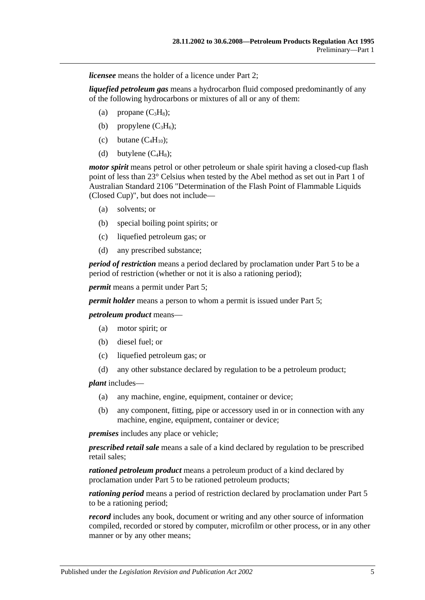*licensee* means the holder of a licence under [Part 2;](#page-7-1)

*liquefied petroleum gas* means a hydrocarbon fluid composed predominantly of any of the following hydrocarbons or mixtures of all or any of them:

- (a) propane  $(C_3H_8)$ ;
- (b) propylene  $(C_3H_6)$ ;
- (c) butane  $(C_4H_{10})$ ;
- (d) butylene  $(C_4H_8)$ ;

*motor spirit* means petrol or other petroleum or shale spirit having a closed-cup flash point of less than 23° Celsius when tested by the Abel method as set out in Part 1 of Australian Standard 2106 "Determination of the Flash Point of Flammable Liquids (Closed Cup)", but does not include—

- (a) solvents; or
- (b) special boiling point spirits; or
- (c) liquefied petroleum gas; or
- (d) any prescribed substance;

*period of restriction* means a period declared by proclamation under [Part 5](#page-21-0) to be a period of restriction (whether or not it is also a rationing period);

*permit* means a permit under [Part 5;](#page-21-0)

*permit holder* means a person to whom a permit is issued under [Part 5;](#page-21-0)

*petroleum product* means—

- (a) motor spirit; or
- (b) diesel fuel; or
- (c) liquefied petroleum gas; or
- (d) any other substance declared by regulation to be a petroleum product;

*plant* includes—

- (a) any machine, engine, equipment, container or device;
- (b) any component, fitting, pipe or accessory used in or in connection with any machine, engine, equipment, container or device;

*premises* includes any place or vehicle;

*prescribed retail sale* means a sale of a kind declared by regulation to be prescribed retail sales;

*rationed petroleum product* means a petroleum product of a kind declared by proclamation under [Part 5](#page-21-0) to be rationed petroleum products;

*rationing period* means a period of restriction declared by proclamation under [Part 5](#page-21-0) to be a rationing period;

*record* includes any book, document or writing and any other source of information compiled, recorded or stored by computer, microfilm or other process, or in any other manner or by any other means;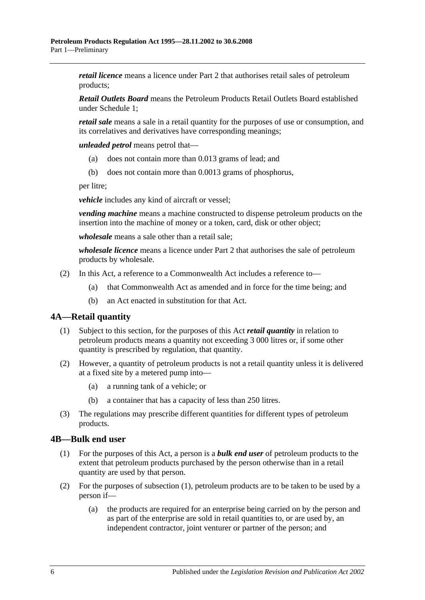*retail licence* means a licence under [Part 2](#page-7-1) that authorises retail sales of petroleum products;

*Retail Outlets Board* means the Petroleum Products Retail Outlets Board established under [Schedule 1;](#page-35-0)

*retail sale* means a sale in a retail quantity for the purposes of use or consumption, and its correlatives and derivatives have corresponding meanings;

*unleaded petrol* means petrol that—

- (a) does not contain more than 0.013 grams of lead; and
- (b) does not contain more than 0.0013 grams of phosphorus,

per litre;

*vehicle* includes any kind of aircraft or vessel;

*vending machine* means a machine constructed to dispense petroleum products on the insertion into the machine of money or a token, card, disk or other object;

*wholesale* means a sale other than a retail sale;

*wholesale licence* means a licence under [Part 2](#page-7-1) that authorises the sale of petroleum products by wholesale.

- (2) In this Act, a reference to a Commonwealth Act includes a reference to—
	- (a) that Commonwealth Act as amended and in force for the time being; and
	- (b) an Act enacted in substitution for that Act.

## <span id="page-5-0"></span>**4A—Retail quantity**

- (1) Subject to this section, for the purposes of this Act *retail quantity* in relation to petroleum products means a quantity not exceeding 3 000 litres or, if some other quantity is prescribed by regulation, that quantity.
- (2) However, a quantity of petroleum products is not a retail quantity unless it is delivered at a fixed site by a metered pump into—
	- (a) a running tank of a vehicle; or
	- (b) a container that has a capacity of less than 250 litres.
- (3) The regulations may prescribe different quantities for different types of petroleum products.

#### <span id="page-5-2"></span><span id="page-5-1"></span>**4B—Bulk end user**

- (1) For the purposes of this Act, a person is a *bulk end user* of petroleum products to the extent that petroleum products purchased by the person otherwise than in a retail quantity are used by that person.
- <span id="page-5-4"></span><span id="page-5-3"></span>(2) For the purposes of [subsection](#page-5-2) (1), petroleum products are to be taken to be used by a person if—
	- (a) the products are required for an enterprise being carried on by the person and as part of the enterprise are sold in retail quantities to, or are used by, an independent contractor, joint venturer or partner of the person; and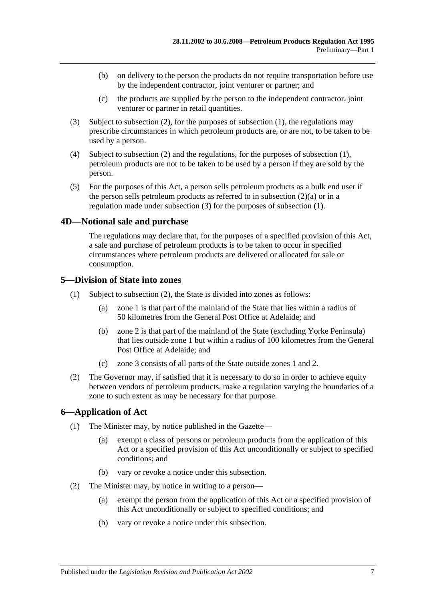- (b) on delivery to the person the products do not require transportation before use by the independent contractor, joint venturer or partner; and
- (c) the products are supplied by the person to the independent contractor, joint venturer or partner in retail quantities.
- <span id="page-6-3"></span>(3) Subject to [subsection](#page-5-3) (2), for the purposes of [subsection](#page-5-2) (1), the regulations may prescribe circumstances in which petroleum products are, or are not, to be taken to be used by a person.
- (4) Subject to [subsection](#page-5-3) (2) and the regulations, for the purposes of [subsection](#page-5-2) (1), petroleum products are not to be taken to be used by a person if they are sold by the person.
- (5) For the purposes of this Act, a person sells petroleum products as a bulk end user if the person sells petroleum products as referred to in [subsection](#page-5-4) (2)(a) or in a regulation made under [subsection](#page-6-3) (3) for the purposes of [subsection](#page-5-2) (1).

#### <span id="page-6-0"></span>**4D—Notional sale and purchase**

The regulations may declare that, for the purposes of a specified provision of this Act, a sale and purchase of petroleum products is to be taken to occur in specified circumstances where petroleum products are delivered or allocated for sale or consumption.

#### <span id="page-6-1"></span>**5—Division of State into zones**

- (1) Subject to [subsection](#page-6-4) (2), the State is divided into zones as follows:
	- (a) zone 1 is that part of the mainland of the State that lies within a radius of 50 kilometres from the General Post Office at Adelaide; and
	- (b) zone 2 is that part of the mainland of the State (excluding Yorke Peninsula) that lies outside zone 1 but within a radius of 100 kilometres from the General Post Office at Adelaide; and
	- (c) zone 3 consists of all parts of the State outside zones 1 and 2.
- <span id="page-6-4"></span>(2) The Governor may, if satisfied that it is necessary to do so in order to achieve equity between vendors of petroleum products, make a regulation varying the boundaries of a zone to such extent as may be necessary for that purpose.

## <span id="page-6-2"></span>**6—Application of Act**

- (1) The Minister may, by notice published in the Gazette—
	- (a) exempt a class of persons or petroleum products from the application of this Act or a specified provision of this Act unconditionally or subject to specified conditions; and
	- (b) vary or revoke a notice under this subsection.
- (2) The Minister may, by notice in writing to a person—
	- (a) exempt the person from the application of this Act or a specified provision of this Act unconditionally or subject to specified conditions; and
	- (b) vary or revoke a notice under this subsection.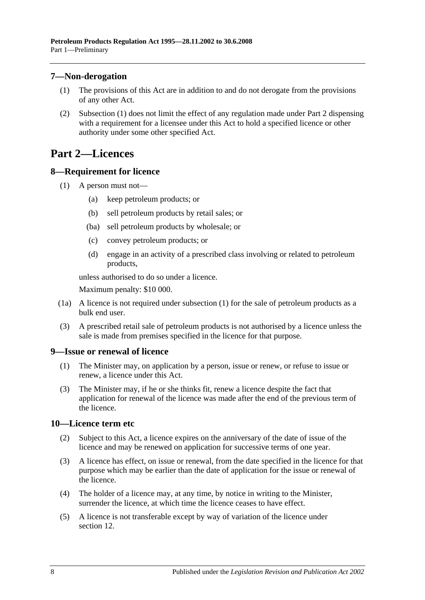## <span id="page-7-5"></span><span id="page-7-0"></span>**7—Non-derogation**

- (1) The provisions of this Act are in addition to and do not derogate from the provisions of any other Act.
- (2) [Subsection](#page-7-5) (1) does not limit the effect of any regulation made under [Part 2](#page-7-1) dispensing with a requirement for a licensee under this Act to hold a specified licence or other authority under some other specified Act.

## <span id="page-7-1"></span>**Part 2—Licences**

## <span id="page-7-6"></span><span id="page-7-2"></span>**8—Requirement for licence**

- (1) A person must not—
	- (a) keep petroleum products; or
	- (b) sell petroleum products by retail sales; or
	- (ba) sell petroleum products by wholesale; or
	- (c) convey petroleum products; or
	- (d) engage in an activity of a prescribed class involving or related to petroleum products,

unless authorised to do so under a licence.

Maximum penalty: \$10 000.

- (1a) A licence is not required under [subsection](#page-7-6) (1) for the sale of petroleum products as a bulk end user.
- (3) A prescribed retail sale of petroleum products is not authorised by a licence unless the sale is made from premises specified in the licence for that purpose.

## <span id="page-7-3"></span>**9—Issue or renewal of licence**

- (1) The Minister may, on application by a person, issue or renew, or refuse to issue or renew, a licence under this Act.
- (3) The Minister may, if he or she thinks fit, renew a licence despite the fact that application for renewal of the licence was made after the end of the previous term of the licence.

## <span id="page-7-4"></span>**10—Licence term etc**

- (2) Subject to this Act, a licence expires on the anniversary of the date of issue of the licence and may be renewed on application for successive terms of one year.
- (3) A licence has effect, on issue or renewal, from the date specified in the licence for that purpose which may be earlier than the date of application for the issue or renewal of the licence.
- (4) The holder of a licence may, at any time, by notice in writing to the Minister, surrender the licence, at which time the licence ceases to have effect.
- (5) A licence is not transferable except by way of variation of the licence under [section](#page-8-1) 12.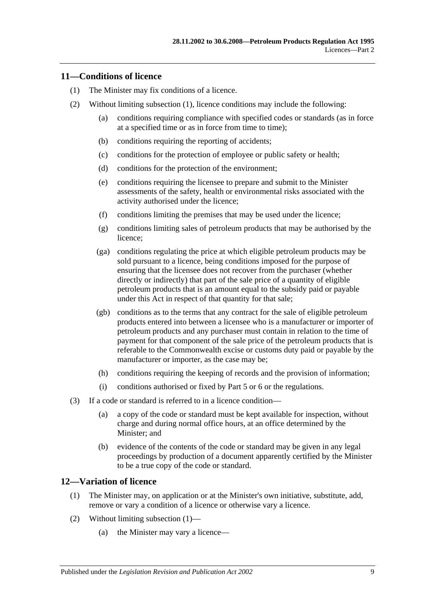## <span id="page-8-2"></span><span id="page-8-0"></span>**11—Conditions of licence**

- (1) The Minister may fix conditions of a licence.
- (2) Without limiting [subsection](#page-8-2) (1), licence conditions may include the following:
	- (a) conditions requiring compliance with specified codes or standards (as in force at a specified time or as in force from time to time);
	- (b) conditions requiring the reporting of accidents;
	- (c) conditions for the protection of employee or public safety or health;
	- (d) conditions for the protection of the environment;
	- (e) conditions requiring the licensee to prepare and submit to the Minister assessments of the safety, health or environmental risks associated with the activity authorised under the licence;
	- (f) conditions limiting the premises that may be used under the licence;
	- (g) conditions limiting sales of petroleum products that may be authorised by the licence;
	- (ga) conditions regulating the price at which eligible petroleum products may be sold pursuant to a licence, being conditions imposed for the purpose of ensuring that the licensee does not recover from the purchaser (whether directly or indirectly) that part of the sale price of a quantity of eligible petroleum products that is an amount equal to the subsidy paid or payable under this Act in respect of that quantity for that sale;
	- (gb) conditions as to the terms that any contract for the sale of eligible petroleum products entered into between a licensee who is a manufacturer or importer of petroleum products and any purchaser must contain in relation to the time of payment for that component of the sale price of the petroleum products that is referable to the Commonwealth excise or customs duty paid or payable by the manufacturer or importer, as the case may be;
	- (h) conditions requiring the keeping of records and the provision of information;
	- (i) conditions authorised or fixed by [Part 5](#page-21-0) or [6](#page-24-5) or the regulations.
- (3) If a code or standard is referred to in a licence condition—
	- (a) a copy of the code or standard must be kept available for inspection, without charge and during normal office hours, at an office determined by the Minister; and
	- (b) evidence of the contents of the code or standard may be given in any legal proceedings by production of a document apparently certified by the Minister to be a true copy of the code or standard.

## <span id="page-8-3"></span><span id="page-8-1"></span>**12—Variation of licence**

- (1) The Minister may, on application or at the Minister's own initiative, substitute, add, remove or vary a condition of a licence or otherwise vary a licence.
- (2) Without limiting [subsection](#page-8-3) (1)—
	- (a) the Minister may vary a licence—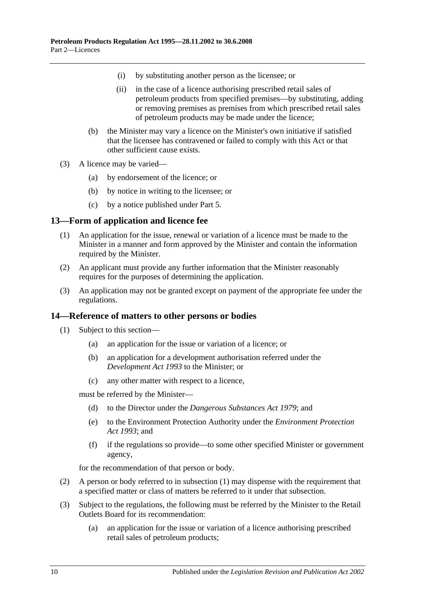- (i) by substituting another person as the licensee; or
- (ii) in the case of a licence authorising prescribed retail sales of petroleum products from specified premises—by substituting, adding or removing premises as premises from which prescribed retail sales of petroleum products may be made under the licence;
- (b) the Minister may vary a licence on the Minister's own initiative if satisfied that the licensee has contravened or failed to comply with this Act or that other sufficient cause exists.
- (3) A licence may be varied—
	- (a) by endorsement of the licence; or
	- (b) by notice in writing to the licensee; or
	- (c) by a notice published under [Part 5.](#page-21-0)

#### <span id="page-9-0"></span>**13—Form of application and licence fee**

- (1) An application for the issue, renewal or variation of a licence must be made to the Minister in a manner and form approved by the Minister and contain the information required by the Minister.
- (2) An applicant must provide any further information that the Minister reasonably requires for the purposes of determining the application.
- (3) An application may not be granted except on payment of the appropriate fee under the regulations.

#### <span id="page-9-2"></span><span id="page-9-1"></span>**14—Reference of matters to other persons or bodies**

- (1) Subject to this section—
	- (a) an application for the issue or variation of a licence; or
	- (b) an application for a development authorisation referred under the *[Development Act](http://www.legislation.sa.gov.au/index.aspx?action=legref&type=act&legtitle=Development%20Act%201993) 1993* to the Minister; or
	- (c) any other matter with respect to a licence,

must be referred by the Minister—

- (d) to the Director under the *[Dangerous Substances Act](http://www.legislation.sa.gov.au/index.aspx?action=legref&type=act&legtitle=Dangerous%20Substances%20Act%201979) 1979*; and
- (e) to the Environment Protection Authority under the *[Environment Protection](http://www.legislation.sa.gov.au/index.aspx?action=legref&type=act&legtitle=Environment%20Protection%20Act%201993)  Act [1993](http://www.legislation.sa.gov.au/index.aspx?action=legref&type=act&legtitle=Environment%20Protection%20Act%201993)*; and
- (f) if the regulations so provide—to some other specified Minister or government agency,

for the recommendation of that person or body.

- (2) A person or body referred to in [subsection](#page-9-2) (1) may dispense with the requirement that a specified matter or class of matters be referred to it under that subsection.
- (3) Subject to the regulations, the following must be referred by the Minister to the Retail Outlets Board for its recommendation:
	- (a) an application for the issue or variation of a licence authorising prescribed retail sales of petroleum products;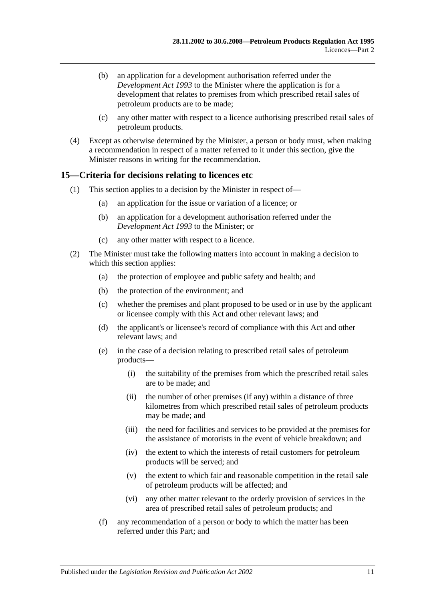- (b) an application for a development authorisation referred under the *[Development Act](http://www.legislation.sa.gov.au/index.aspx?action=legref&type=act&legtitle=Development%20Act%201993) 1993* to the Minister where the application is for a development that relates to premises from which prescribed retail sales of petroleum products are to be made;
- (c) any other matter with respect to a licence authorising prescribed retail sales of petroleum products.
- (4) Except as otherwise determined by the Minister, a person or body must, when making a recommendation in respect of a matter referred to it under this section, give the Minister reasons in writing for the recommendation.

## <span id="page-10-0"></span>**15—Criteria for decisions relating to licences etc**

- (1) This section applies to a decision by the Minister in respect of—
	- (a) an application for the issue or variation of a licence; or
	- (b) an application for a development authorisation referred under the *[Development Act](http://www.legislation.sa.gov.au/index.aspx?action=legref&type=act&legtitle=Development%20Act%201993) 1993* to the Minister; or
	- (c) any other matter with respect to a licence.
- (2) The Minister must take the following matters into account in making a decision to which this section applies:
	- (a) the protection of employee and public safety and health; and
	- (b) the protection of the environment; and
	- (c) whether the premises and plant proposed to be used or in use by the applicant or licensee comply with this Act and other relevant laws; and
	- (d) the applicant's or licensee's record of compliance with this Act and other relevant laws; and
	- (e) in the case of a decision relating to prescribed retail sales of petroleum products—
		- (i) the suitability of the premises from which the prescribed retail sales are to be made; and
		- (ii) the number of other premises (if any) within a distance of three kilometres from which prescribed retail sales of petroleum products may be made; and
		- (iii) the need for facilities and services to be provided at the premises for the assistance of motorists in the event of vehicle breakdown; and
		- (iv) the extent to which the interests of retail customers for petroleum products will be served; and
		- (v) the extent to which fair and reasonable competition in the retail sale of petroleum products will be affected; and
		- (vi) any other matter relevant to the orderly provision of services in the area of prescribed retail sales of petroleum products; and
	- (f) any recommendation of a person or body to which the matter has been referred under this Part; and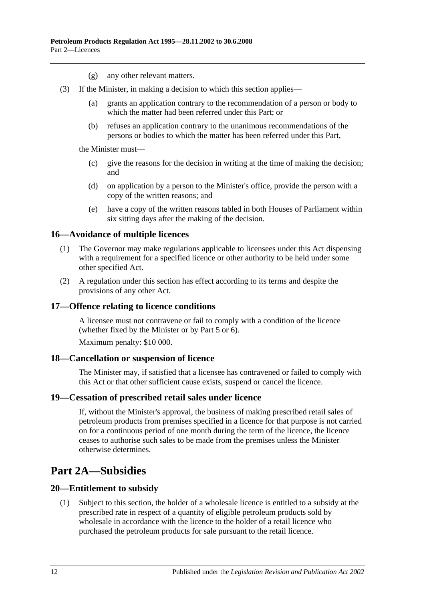- (g) any other relevant matters.
- (3) If the Minister, in making a decision to which this section applies—
	- (a) grants an application contrary to the recommendation of a person or body to which the matter had been referred under this Part; or
	- (b) refuses an application contrary to the unanimous recommendations of the persons or bodies to which the matter has been referred under this Part,

the Minister must—

- (c) give the reasons for the decision in writing at the time of making the decision; and
- (d) on application by a person to the Minister's office, provide the person with a copy of the written reasons; and
- (e) have a copy of the written reasons tabled in both Houses of Parliament within six sitting days after the making of the decision.

#### <span id="page-11-0"></span>**16—Avoidance of multiple licences**

- (1) The Governor may make regulations applicable to licensees under this Act dispensing with a requirement for a specified licence or other authority to be held under some other specified Act.
- (2) A regulation under this section has effect according to its terms and despite the provisions of any other Act.

#### <span id="page-11-1"></span>**17—Offence relating to licence conditions**

A licensee must not contravene or fail to comply with a condition of the licence (whether fixed by the Minister or by [Part 5](#page-21-0) or [6\)](#page-24-5).

Maximum penalty: \$10 000.

#### <span id="page-11-2"></span>**18—Cancellation or suspension of licence**

The Minister may, if satisfied that a licensee has contravened or failed to comply with this Act or that other sufficient cause exists, suspend or cancel the licence.

#### <span id="page-11-3"></span>**19—Cessation of prescribed retail sales under licence**

If, without the Minister's approval, the business of making prescribed retail sales of petroleum products from premises specified in a licence for that purpose is not carried on for a continuous period of one month during the term of the licence, the licence ceases to authorise such sales to be made from the premises unless the Minister otherwise determines.

## <span id="page-11-4"></span>**Part 2A—Subsidies**

#### <span id="page-11-5"></span>**20—Entitlement to subsidy**

(1) Subject to this section, the holder of a wholesale licence is entitled to a subsidy at the prescribed rate in respect of a quantity of eligible petroleum products sold by wholesale in accordance with the licence to the holder of a retail licence who purchased the petroleum products for sale pursuant to the retail licence.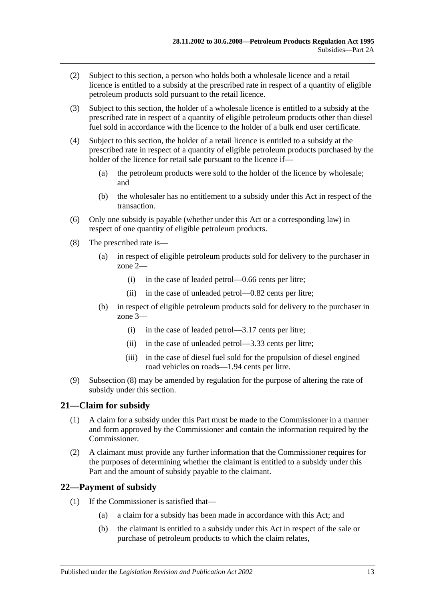- (2) Subject to this section, a person who holds both a wholesale licence and a retail licence is entitled to a subsidy at the prescribed rate in respect of a quantity of eligible petroleum products sold pursuant to the retail licence.
- (3) Subject to this section, the holder of a wholesale licence is entitled to a subsidy at the prescribed rate in respect of a quantity of eligible petroleum products other than diesel fuel sold in accordance with the licence to the holder of a bulk end user certificate.
- (4) Subject to this section, the holder of a retail licence is entitled to a subsidy at the prescribed rate in respect of a quantity of eligible petroleum products purchased by the holder of the licence for retail sale pursuant to the licence if—
	- (a) the petroleum products were sold to the holder of the licence by wholesale; and
	- (b) the wholesaler has no entitlement to a subsidy under this Act in respect of the transaction.
- (6) Only one subsidy is payable (whether under this Act or a corresponding law) in respect of one quantity of eligible petroleum products.
- <span id="page-12-2"></span>(8) The prescribed rate is—
	- (a) in respect of eligible petroleum products sold for delivery to the purchaser in zone 2—
		- (i) in the case of leaded petrol—0.66 cents per litre;
		- (ii) in the case of unleaded petrol—0.82 cents per litre;
	- (b) in respect of eligible petroleum products sold for delivery to the purchaser in zone 3—
		- (i) in the case of leaded petrol—3.17 cents per litre;
		- (ii) in the case of unleaded petrol—3.33 cents per litre;
		- (iii) in the case of diesel fuel sold for the propulsion of diesel engined road vehicles on roads—1.94 cents per litre.
- (9) [Subsection](#page-12-2) (8) may be amended by regulation for the purpose of altering the rate of subsidy under this section.

## <span id="page-12-0"></span>**21—Claim for subsidy**

- (1) A claim for a subsidy under this Part must be made to the Commissioner in a manner and form approved by the Commissioner and contain the information required by the Commissioner.
- (2) A claimant must provide any further information that the Commissioner requires for the purposes of determining whether the claimant is entitled to a subsidy under this Part and the amount of subsidy payable to the claimant.

## <span id="page-12-3"></span><span id="page-12-1"></span>**22—Payment of subsidy**

- (1) If the Commissioner is satisfied that—
	- (a) a claim for a subsidy has been made in accordance with this Act; and
	- (b) the claimant is entitled to a subsidy under this Act in respect of the sale or purchase of petroleum products to which the claim relates,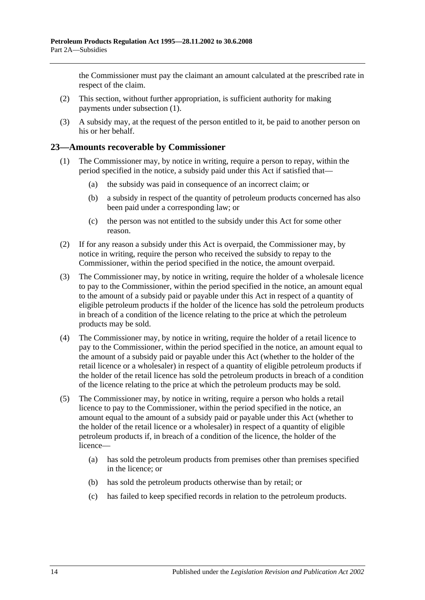the Commissioner must pay the claimant an amount calculated at the prescribed rate in respect of the claim.

- (2) This section, without further appropriation, is sufficient authority for making payments under [subsection](#page-12-3) (1).
- (3) A subsidy may, at the request of the person entitled to it, be paid to another person on his or her behalf.

#### <span id="page-13-0"></span>**23—Amounts recoverable by Commissioner**

- (1) The Commissioner may, by notice in writing, require a person to repay, within the period specified in the notice, a subsidy paid under this Act if satisfied that—
	- (a) the subsidy was paid in consequence of an incorrect claim; or
	- (b) a subsidy in respect of the quantity of petroleum products concerned has also been paid under a corresponding law; or
	- (c) the person was not entitled to the subsidy under this Act for some other reason.
- (2) If for any reason a subsidy under this Act is overpaid, the Commissioner may, by notice in writing, require the person who received the subsidy to repay to the Commissioner, within the period specified in the notice, the amount overpaid.
- (3) The Commissioner may, by notice in writing, require the holder of a wholesale licence to pay to the Commissioner, within the period specified in the notice, an amount equal to the amount of a subsidy paid or payable under this Act in respect of a quantity of eligible petroleum products if the holder of the licence has sold the petroleum products in breach of a condition of the licence relating to the price at which the petroleum products may be sold.
- (4) The Commissioner may, by notice in writing, require the holder of a retail licence to pay to the Commissioner, within the period specified in the notice, an amount equal to the amount of a subsidy paid or payable under this Act (whether to the holder of the retail licence or a wholesaler) in respect of a quantity of eligible petroleum products if the holder of the retail licence has sold the petroleum products in breach of a condition of the licence relating to the price at which the petroleum products may be sold.
- (5) The Commissioner may, by notice in writing, require a person who holds a retail licence to pay to the Commissioner, within the period specified in the notice, an amount equal to the amount of a subsidy paid or payable under this Act (whether to the holder of the retail licence or a wholesaler) in respect of a quantity of eligible petroleum products if, in breach of a condition of the licence, the holder of the licence—
	- (a) has sold the petroleum products from premises other than premises specified in the licence; or
	- (b) has sold the petroleum products otherwise than by retail; or
	- (c) has failed to keep specified records in relation to the petroleum products.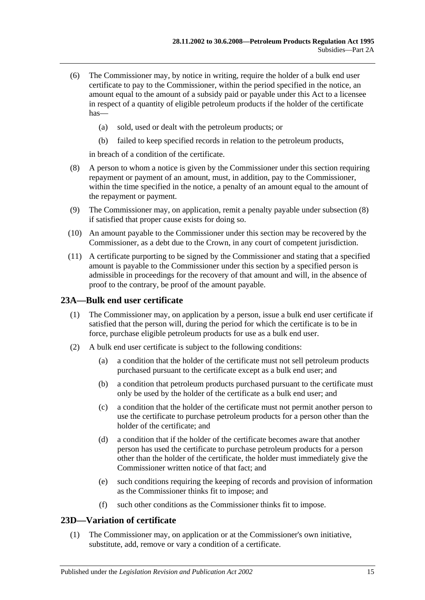- (6) The Commissioner may, by notice in writing, require the holder of a bulk end user certificate to pay to the Commissioner, within the period specified in the notice, an amount equal to the amount of a subsidy paid or payable under this Act to a licensee in respect of a quantity of eligible petroleum products if the holder of the certificate has—
	- (a) sold, used or dealt with the petroleum products; or
	- (b) failed to keep specified records in relation to the petroleum products,

in breach of a condition of the certificate.

- <span id="page-14-2"></span>(8) A person to whom a notice is given by the Commissioner under this section requiring repayment or payment of an amount, must, in addition, pay to the Commissioner, within the time specified in the notice, a penalty of an amount equal to the amount of the repayment or payment.
- (9) The Commissioner may, on application, remit a penalty payable under [subsection](#page-14-2) (8) if satisfied that proper cause exists for doing so.
- (10) An amount payable to the Commissioner under this section may be recovered by the Commissioner, as a debt due to the Crown, in any court of competent jurisdiction.
- (11) A certificate purporting to be signed by the Commissioner and stating that a specified amount is payable to the Commissioner under this section by a specified person is admissible in proceedings for the recovery of that amount and will, in the absence of proof to the contrary, be proof of the amount payable.

## <span id="page-14-0"></span>**23A—Bulk end user certificate**

- (1) The Commissioner may, on application by a person, issue a bulk end user certificate if satisfied that the person will, during the period for which the certificate is to be in force, purchase eligible petroleum products for use as a bulk end user.
- (2) A bulk end user certificate is subject to the following conditions:
	- (a) a condition that the holder of the certificate must not sell petroleum products purchased pursuant to the certificate except as a bulk end user; and
	- (b) a condition that petroleum products purchased pursuant to the certificate must only be used by the holder of the certificate as a bulk end user; and
	- (c) a condition that the holder of the certificate must not permit another person to use the certificate to purchase petroleum products for a person other than the holder of the certificate; and
	- (d) a condition that if the holder of the certificate becomes aware that another person has used the certificate to purchase petroleum products for a person other than the holder of the certificate, the holder must immediately give the Commissioner written notice of that fact; and
	- (e) such conditions requiring the keeping of records and provision of information as the Commissioner thinks fit to impose; and
	- (f) such other conditions as the Commissioner thinks fit to impose.

## <span id="page-14-1"></span>**23D—Variation of certificate**

(1) The Commissioner may, on application or at the Commissioner's own initiative, substitute, add, remove or vary a condition of a certificate.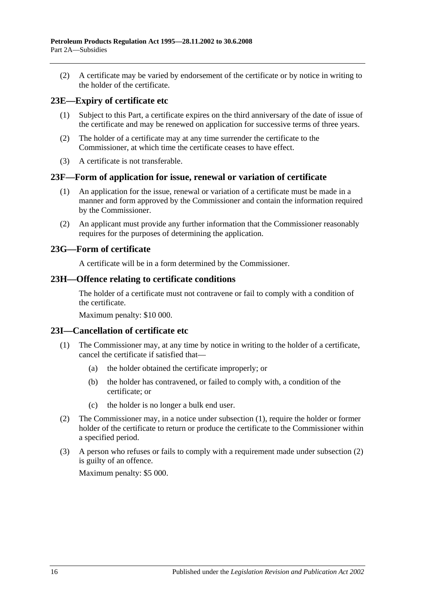(2) A certificate may be varied by endorsement of the certificate or by notice in writing to the holder of the certificate.

## <span id="page-15-0"></span>**23E—Expiry of certificate etc**

- (1) Subject to this Part, a certificate expires on the third anniversary of the date of issue of the certificate and may be renewed on application for successive terms of three years.
- (2) The holder of a certificate may at any time surrender the certificate to the Commissioner, at which time the certificate ceases to have effect.
- (3) A certificate is not transferable.

#### <span id="page-15-1"></span>**23F—Form of application for issue, renewal or variation of certificate**

- (1) An application for the issue, renewal or variation of a certificate must be made in a manner and form approved by the Commissioner and contain the information required by the Commissioner.
- (2) An applicant must provide any further information that the Commissioner reasonably requires for the purposes of determining the application.

#### <span id="page-15-2"></span>**23G—Form of certificate**

A certificate will be in a form determined by the Commissioner.

#### <span id="page-15-3"></span>**23H—Offence relating to certificate conditions**

The holder of a certificate must not contravene or fail to comply with a condition of the certificate.

Maximum penalty: \$10 000.

## <span id="page-15-5"></span><span id="page-15-4"></span>**23I—Cancellation of certificate etc**

- (1) The Commissioner may, at any time by notice in writing to the holder of a certificate, cancel the certificate if satisfied that—
	- (a) the holder obtained the certificate improperly; or
	- (b) the holder has contravened, or failed to comply with, a condition of the certificate; or
	- (c) the holder is no longer a bulk end user.
- <span id="page-15-6"></span>(2) The Commissioner may, in a notice under [subsection](#page-15-5) (1), require the holder or former holder of the certificate to return or produce the certificate to the Commissioner within a specified period.
- (3) A person who refuses or fails to comply with a requirement made under [subsection](#page-15-6) (2) is guilty of an offence.

Maximum penalty: \$5 000.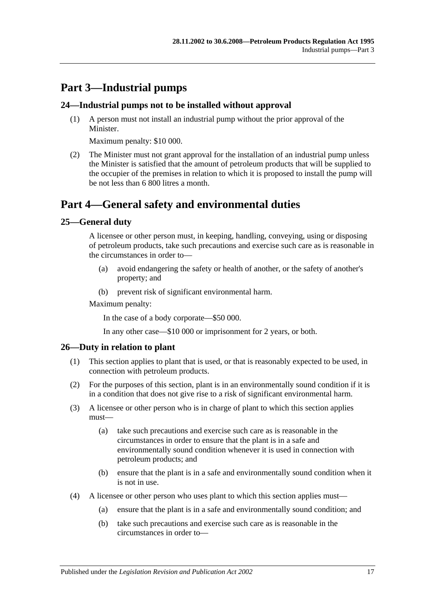## <span id="page-16-0"></span>**Part 3—Industrial pumps**

### <span id="page-16-1"></span>**24—Industrial pumps not to be installed without approval**

(1) A person must not install an industrial pump without the prior approval of the Minister.

Maximum penalty: \$10 000.

(2) The Minister must not grant approval for the installation of an industrial pump unless the Minister is satisfied that the amount of petroleum products that will be supplied to the occupier of the premises in relation to which it is proposed to install the pump will be not less than 6 800 litres a month.

## <span id="page-16-2"></span>**Part 4—General safety and environmental duties**

## <span id="page-16-3"></span>**25—General duty**

A licensee or other person must, in keeping, handling, conveying, using or disposing of petroleum products, take such precautions and exercise such care as is reasonable in the circumstances in order to—

- (a) avoid endangering the safety or health of another, or the safety of another's property; and
- (b) prevent risk of significant environmental harm.

Maximum penalty:

In the case of a body corporate—\$50 000.

In any other case—\$10 000 or imprisonment for 2 years, or both.

## <span id="page-16-4"></span>**26—Duty in relation to plant**

- (1) This section applies to plant that is used, or that is reasonably expected to be used, in connection with petroleum products.
- (2) For the purposes of this section, plant is in an environmentally sound condition if it is in a condition that does not give rise to a risk of significant environmental harm.
- (3) A licensee or other person who is in charge of plant to which this section applies must—
	- (a) take such precautions and exercise such care as is reasonable in the circumstances in order to ensure that the plant is in a safe and environmentally sound condition whenever it is used in connection with petroleum products; and
	- (b) ensure that the plant is in a safe and environmentally sound condition when it is not in use.
- (4) A licensee or other person who uses plant to which this section applies must—
	- (a) ensure that the plant is in a safe and environmentally sound condition; and
	- (b) take such precautions and exercise such care as is reasonable in the circumstances in order to—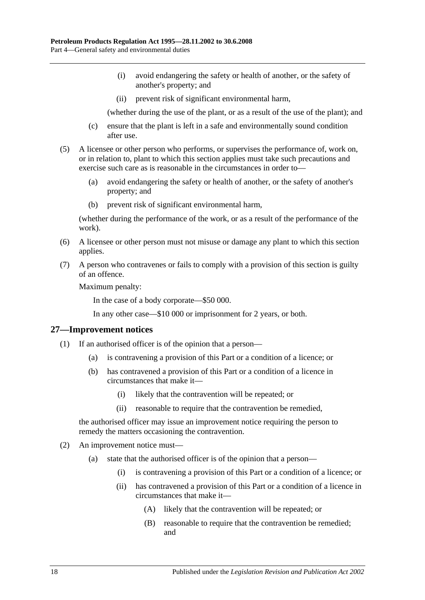- (i) avoid endangering the safety or health of another, or the safety of another's property; and
- (ii) prevent risk of significant environmental harm,

(whether during the use of the plant, or as a result of the use of the plant); and

- (c) ensure that the plant is left in a safe and environmentally sound condition after use.
- (5) A licensee or other person who performs, or supervises the performance of, work on, or in relation to, plant to which this section applies must take such precautions and exercise such care as is reasonable in the circumstances in order to—
	- (a) avoid endangering the safety or health of another, or the safety of another's property; and
	- (b) prevent risk of significant environmental harm,

(whether during the performance of the work, or as a result of the performance of the work).

- (6) A licensee or other person must not misuse or damage any plant to which this section applies.
- (7) A person who contravenes or fails to comply with a provision of this section is guilty of an offence.

Maximum penalty:

In the case of a body corporate—\$50 000.

In any other case—\$10 000 or imprisonment for 2 years, or both.

#### <span id="page-17-0"></span>**27—Improvement notices**

- (1) If an authorised officer is of the opinion that a person—
	- (a) is contravening a provision of this Part or a condition of a licence; or
	- (b) has contravened a provision of this Part or a condition of a licence in circumstances that make it—
		- (i) likely that the contravention will be repeated; or
		- (ii) reasonable to require that the contravention be remedied,

the authorised officer may issue an improvement notice requiring the person to remedy the matters occasioning the contravention.

- (2) An improvement notice must—
	- (a) state that the authorised officer is of the opinion that a person—
		- (i) is contravening a provision of this Part or a condition of a licence; or
		- (ii) has contravened a provision of this Part or a condition of a licence in circumstances that make it—
			- (A) likely that the contravention will be repeated; or
			- (B) reasonable to require that the contravention be remedied; and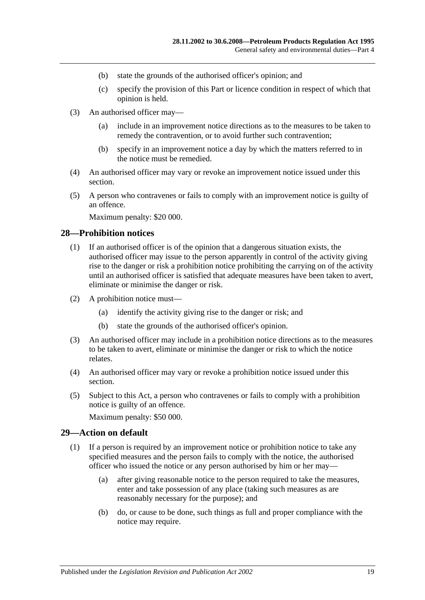- (b) state the grounds of the authorised officer's opinion; and
- (c) specify the provision of this Part or licence condition in respect of which that opinion is held.
- (3) An authorised officer may—
	- (a) include in an improvement notice directions as to the measures to be taken to remedy the contravention, or to avoid further such contravention;
	- (b) specify in an improvement notice a day by which the matters referred to in the notice must be remedied.
- (4) An authorised officer may vary or revoke an improvement notice issued under this section.
- (5) A person who contravenes or fails to comply with an improvement notice is guilty of an offence.

Maximum penalty: \$20 000.

### <span id="page-18-0"></span>**28—Prohibition notices**

- (1) If an authorised officer is of the opinion that a dangerous situation exists, the authorised officer may issue to the person apparently in control of the activity giving rise to the danger or risk a prohibition notice prohibiting the carrying on of the activity until an authorised officer is satisfied that adequate measures have been taken to avert, eliminate or minimise the danger or risk.
- (2) A prohibition notice must—
	- (a) identify the activity giving rise to the danger or risk; and
	- (b) state the grounds of the authorised officer's opinion.
- (3) An authorised officer may include in a prohibition notice directions as to the measures to be taken to avert, eliminate or minimise the danger or risk to which the notice relates.
- (4) An authorised officer may vary or revoke a prohibition notice issued under this section.
- (5) Subject to this Act, a person who contravenes or fails to comply with a prohibition notice is guilty of an offence.

Maximum penalty: \$50 000.

#### <span id="page-18-2"></span><span id="page-18-1"></span>**29—Action on default**

- (1) If a person is required by an improvement notice or prohibition notice to take any specified measures and the person fails to comply with the notice, the authorised officer who issued the notice or any person authorised by him or her may—
	- (a) after giving reasonable notice to the person required to take the measures, enter and take possession of any place (taking such measures as are reasonably necessary for the purpose); and
	- (b) do, or cause to be done, such things as full and proper compliance with the notice may require.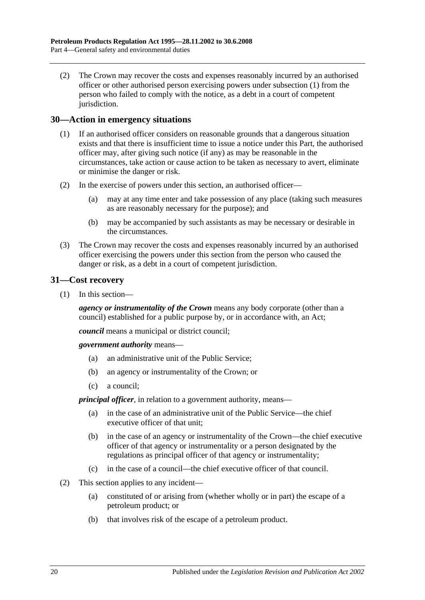(2) The Crown may recover the costs and expenses reasonably incurred by an authorised officer or other authorised person exercising powers under [subsection](#page-18-2) (1) from the person who failed to comply with the notice, as a debt in a court of competent jurisdiction.

#### <span id="page-19-0"></span>**30—Action in emergency situations**

- (1) If an authorised officer considers on reasonable grounds that a dangerous situation exists and that there is insufficient time to issue a notice under this Part, the authorised officer may, after giving such notice (if any) as may be reasonable in the circumstances, take action or cause action to be taken as necessary to avert, eliminate or minimise the danger or risk.
- (2) In the exercise of powers under this section, an authorised officer—
	- (a) may at any time enter and take possession of any place (taking such measures as are reasonably necessary for the purpose); and
	- (b) may be accompanied by such assistants as may be necessary or desirable in the circumstances.
- (3) The Crown may recover the costs and expenses reasonably incurred by an authorised officer exercising the powers under this section from the person who caused the danger or risk, as a debt in a court of competent jurisdiction.

#### <span id="page-19-1"></span>**31—Cost recovery**

(1) In this section—

*agency or instrumentality of the Crown* means any body corporate (other than a council) established for a public purpose by, or in accordance with, an Act;

*council* means a municipal or district council;

*government authority* means—

- (a) an administrative unit of the Public Service;
- (b) an agency or instrumentality of the Crown; or
- (c) a council;

*principal officer*, in relation to a government authority, means—

- (a) in the case of an administrative unit of the Public Service—the chief executive officer of that unit;
- (b) in the case of an agency or instrumentality of the Crown—the chief executive officer of that agency or instrumentality or a person designated by the regulations as principal officer of that agency or instrumentality;
- (c) in the case of a council—the chief executive officer of that council.
- (2) This section applies to any incident—
	- (a) constituted of or arising from (whether wholly or in part) the escape of a petroleum product; or
	- (b) that involves risk of the escape of a petroleum product.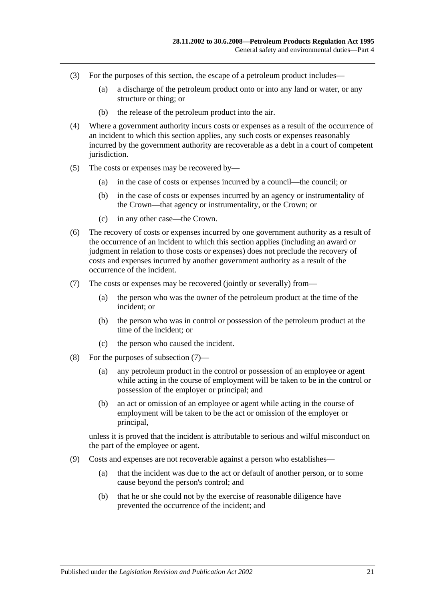- (3) For the purposes of this section, the escape of a petroleum product includes—
	- (a) a discharge of the petroleum product onto or into any land or water, or any structure or thing; or
	- (b) the release of the petroleum product into the air.
- (4) Where a government authority incurs costs or expenses as a result of the occurrence of an incident to which this section applies, any such costs or expenses reasonably incurred by the government authority are recoverable as a debt in a court of competent jurisdiction.
- (5) The costs or expenses may be recovered by—
	- (a) in the case of costs or expenses incurred by a council—the council; or
	- (b) in the case of costs or expenses incurred by an agency or instrumentality of the Crown—that agency or instrumentality, or the Crown; or
	- (c) in any other case—the Crown.
- (6) The recovery of costs or expenses incurred by one government authority as a result of the occurrence of an incident to which this section applies (including an award or judgment in relation to those costs or expenses) does not preclude the recovery of costs and expenses incurred by another government authority as a result of the occurrence of the incident.
- <span id="page-20-0"></span>(7) The costs or expenses may be recovered (jointly or severally) from—
	- (a) the person who was the owner of the petroleum product at the time of the incident; or
	- (b) the person who was in control or possession of the petroleum product at the time of the incident; or
	- (c) the person who caused the incident.
- (8) For the purposes of [subsection](#page-20-0) (7)—
	- (a) any petroleum product in the control or possession of an employee or agent while acting in the course of employment will be taken to be in the control or possession of the employer or principal; and
	- (b) an act or omission of an employee or agent while acting in the course of employment will be taken to be the act or omission of the employer or principal,

unless it is proved that the incident is attributable to serious and wilful misconduct on the part of the employee or agent.

- (9) Costs and expenses are not recoverable against a person who establishes—
	- (a) that the incident was due to the act or default of another person, or to some cause beyond the person's control; and
	- (b) that he or she could not by the exercise of reasonable diligence have prevented the occurrence of the incident; and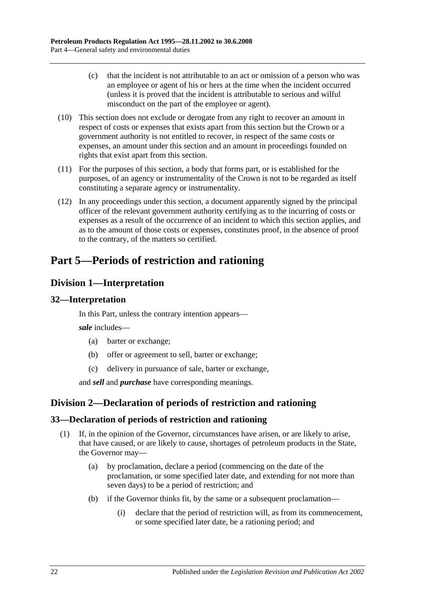- (c) that the incident is not attributable to an act or omission of a person who was an employee or agent of his or hers at the time when the incident occurred (unless it is proved that the incident is attributable to serious and wilful misconduct on the part of the employee or agent).
- (10) This section does not exclude or derogate from any right to recover an amount in respect of costs or expenses that exists apart from this section but the Crown or a government authority is not entitled to recover, in respect of the same costs or expenses, an amount under this section and an amount in proceedings founded on rights that exist apart from this section.
- (11) For the purposes of this section, a body that forms part, or is established for the purposes, of an agency or instrumentality of the Crown is not to be regarded as itself constituting a separate agency or instrumentality.
- (12) In any proceedings under this section, a document apparently signed by the principal officer of the relevant government authority certifying as to the incurring of costs or expenses as a result of the occurrence of an incident to which this section applies, and as to the amount of those costs or expenses, constitutes proof, in the absence of proof to the contrary, of the matters so certified.

## <span id="page-21-0"></span>**Part 5—Periods of restriction and rationing**

## <span id="page-21-1"></span>**Division 1—Interpretation**

## <span id="page-21-2"></span>**32—Interpretation**

In this Part, unless the contrary intention appears—

*sale* includes—

- (a) barter or exchange;
- (b) offer or agreement to sell, barter or exchange;
- (c) delivery in pursuance of sale, barter or exchange,

and *sell* and *purchase* have corresponding meanings.

## <span id="page-21-3"></span>**Division 2—Declaration of periods of restriction and rationing**

## <span id="page-21-4"></span>**33—Declaration of periods of restriction and rationing**

- <span id="page-21-5"></span>(1) If, in the opinion of the Governor, circumstances have arisen, or are likely to arise, that have caused, or are likely to cause, shortages of petroleum products in the State, the Governor may—
	- (a) by proclamation, declare a period (commencing on the date of the proclamation, or some specified later date, and extending for not more than seven days) to be a period of restriction; and
	- (b) if the Governor thinks fit, by the same or a subsequent proclamation—
		- (i) declare that the period of restriction will, as from its commencement, or some specified later date, be a rationing period; and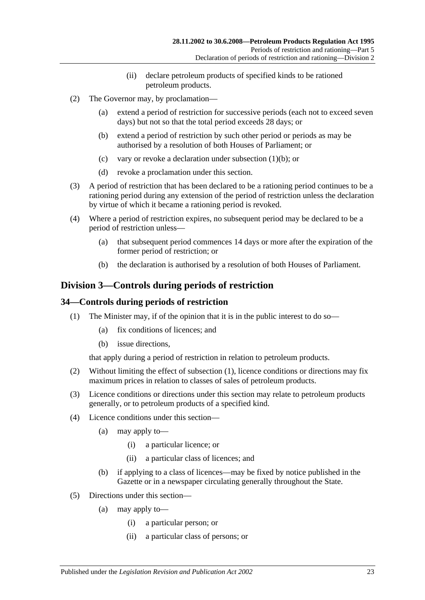- (ii) declare petroleum products of specified kinds to be rationed petroleum products.
- (2) The Governor may, by proclamation—
	- (a) extend a period of restriction for successive periods (each not to exceed seven days) but not so that the total period exceeds 28 days; or
	- (b) extend a period of restriction by such other period or periods as may be authorised by a resolution of both Houses of Parliament; or
	- (c) vary or revoke a declaration under [subsection](#page-21-5) (1)(b); or
	- (d) revoke a proclamation under this section.
- (3) A period of restriction that has been declared to be a rationing period continues to be a rationing period during any extension of the period of restriction unless the declaration by virtue of which it became a rationing period is revoked.
- (4) Where a period of restriction expires, no subsequent period may be declared to be a period of restriction unless—
	- (a) that subsequent period commences 14 days or more after the expiration of the former period of restriction; or
	- (b) the declaration is authorised by a resolution of both Houses of Parliament.

## <span id="page-22-0"></span>**Division 3—Controls during periods of restriction**

#### <span id="page-22-2"></span><span id="page-22-1"></span>**34—Controls during periods of restriction**

- (1) The Minister may, if of the opinion that it is in the public interest to do so—
	- (a) fix conditions of licences; and
	- (b) issue directions.

that apply during a period of restriction in relation to petroleum products.

- (2) Without limiting the effect of [subsection](#page-22-2) (1), licence conditions or directions may fix maximum prices in relation to classes of sales of petroleum products.
- (3) Licence conditions or directions under this section may relate to petroleum products generally, or to petroleum products of a specified kind.
- (4) Licence conditions under this section—
	- (a) may apply to—
		- (i) a particular licence; or
		- (ii) a particular class of licences; and
	- (b) if applying to a class of licences—may be fixed by notice published in the Gazette or in a newspaper circulating generally throughout the State.
- (5) Directions under this section—
	- (a) may apply to—
		- (i) a particular person; or
		- (ii) a particular class of persons; or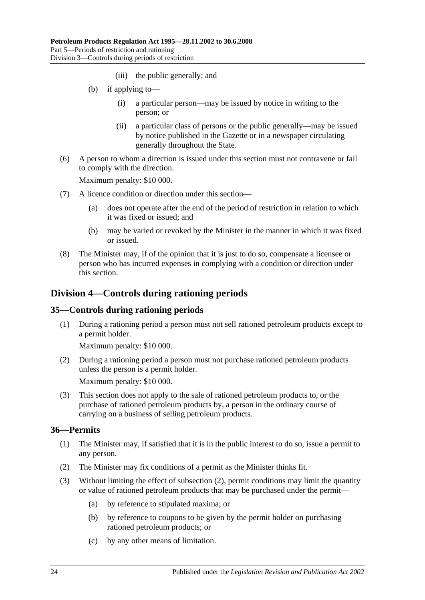- (iii) the public generally; and
- (b) if applying to—
	- (i) a particular person—may be issued by notice in writing to the person; or
	- (ii) a particular class of persons or the public generally—may be issued by notice published in the Gazette or in a newspaper circulating generally throughout the State.
- (6) A person to whom a direction is issued under this section must not contravene or fail to comply with the direction.

Maximum penalty: \$10 000.

- (7) A licence condition or direction under this section—
	- (a) does not operate after the end of the period of restriction in relation to which it was fixed or issued; and
	- (b) may be varied or revoked by the Minister in the manner in which it was fixed or issued.
- (8) The Minister may, if of the opinion that it is just to do so, compensate a licensee or person who has incurred expenses in complying with a condition or direction under this section.

## <span id="page-23-0"></span>**Division 4—Controls during rationing periods**

## <span id="page-23-1"></span>**35—Controls during rationing periods**

(1) During a rationing period a person must not sell rationed petroleum products except to a permit holder.

Maximum penalty: \$10 000.

(2) During a rationing period a person must not purchase rationed petroleum products unless the person is a permit holder.

Maximum penalty: \$10 000.

(3) This section does not apply to the sale of rationed petroleum products to, or the purchase of rationed petroleum products by, a person in the ordinary course of carrying on a business of selling petroleum products.

## <span id="page-23-2"></span>**36—Permits**

- (1) The Minister may, if satisfied that it is in the public interest to do so, issue a permit to any person.
- <span id="page-23-3"></span>(2) The Minister may fix conditions of a permit as the Minister thinks fit.
- (3) Without limiting the effect of [subsection](#page-23-3) (2), permit conditions may limit the quantity or value of rationed petroleum products that may be purchased under the permit—
	- (a) by reference to stipulated maxima; or
	- (b) by reference to coupons to be given by the permit holder on purchasing rationed petroleum products; or
	- (c) by any other means of limitation.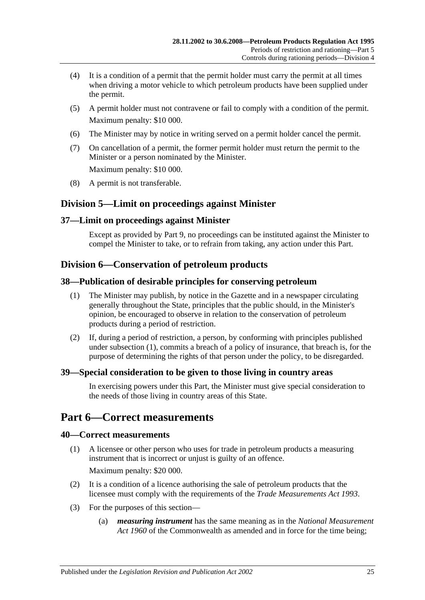- (4) It is a condition of a permit that the permit holder must carry the permit at all times when driving a motor vehicle to which petroleum products have been supplied under the permit.
- (5) A permit holder must not contravene or fail to comply with a condition of the permit. Maximum penalty: \$10 000.
- (6) The Minister may by notice in writing served on a permit holder cancel the permit.
- (7) On cancellation of a permit, the former permit holder must return the permit to the Minister or a person nominated by the Minister. Maximum penalty: \$10 000.
- (8) A permit is not transferable.

## <span id="page-24-0"></span>**Division 5—Limit on proceedings against Minister**

## <span id="page-24-1"></span>**37—Limit on proceedings against Minister**

Except as provided by [Part 9,](#page-28-0) no proceedings can be instituted against the Minister to compel the Minister to take, or to refrain from taking, any action under this Part.

## <span id="page-24-2"></span>**Division 6—Conservation of petroleum products**

## <span id="page-24-7"></span><span id="page-24-3"></span>**38—Publication of desirable principles for conserving petroleum**

- (1) The Minister may publish, by notice in the Gazette and in a newspaper circulating generally throughout the State, principles that the public should, in the Minister's opinion, be encouraged to observe in relation to the conservation of petroleum products during a period of restriction.
- (2) If, during a period of restriction, a person, by conforming with principles published under [subsection](#page-24-7) (1), commits a breach of a policy of insurance, that breach is, for the purpose of determining the rights of that person under the policy, to be disregarded.

## <span id="page-24-4"></span>**39—Special consideration to be given to those living in country areas**

In exercising powers under this Part, the Minister must give special consideration to the needs of those living in country areas of this State.

## <span id="page-24-5"></span>**Part 6—Correct measurements**

## <span id="page-24-6"></span>**40—Correct measurements**

(1) A licensee or other person who uses for trade in petroleum products a measuring instrument that is incorrect or unjust is guilty of an offence.

Maximum penalty: \$20 000.

- (2) It is a condition of a licence authorising the sale of petroleum products that the licensee must comply with the requirements of the *[Trade Measurements Act](http://www.legislation.sa.gov.au/index.aspx?action=legref&type=act&legtitle=Trade%20Measurements%20Act%201993) 1993*.
- (3) For the purposes of this section—
	- (a) *measuring instrument* has the same meaning as in the *National Measurement Act 1960* of the Commonwealth as amended and in force for the time being;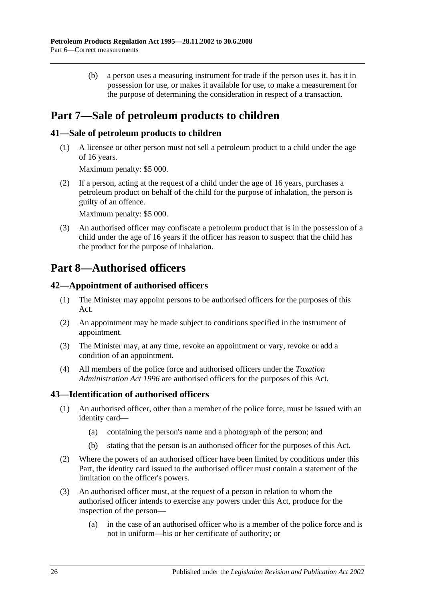(b) a person uses a measuring instrument for trade if the person uses it, has it in possession for use, or makes it available for use, to make a measurement for the purpose of determining the consideration in respect of a transaction.

## <span id="page-25-0"></span>**Part 7—Sale of petroleum products to children**

## <span id="page-25-1"></span>**41—Sale of petroleum products to children**

(1) A licensee or other person must not sell a petroleum product to a child under the age of 16 years.

Maximum penalty: \$5 000.

(2) If a person, acting at the request of a child under the age of 16 years, purchases a petroleum product on behalf of the child for the purpose of inhalation, the person is guilty of an offence.

Maximum penalty: \$5 000.

(3) An authorised officer may confiscate a petroleum product that is in the possession of a child under the age of 16 years if the officer has reason to suspect that the child has the product for the purpose of inhalation.

## <span id="page-25-2"></span>**Part 8—Authorised officers**

## <span id="page-25-3"></span>**42—Appointment of authorised officers**

- (1) The Minister may appoint persons to be authorised officers for the purposes of this Act.
- (2) An appointment may be made subject to conditions specified in the instrument of appointment.
- (3) The Minister may, at any time, revoke an appointment or vary, revoke or add a condition of an appointment.
- (4) All members of the police force and authorised officers under the *[Taxation](http://www.legislation.sa.gov.au/index.aspx?action=legref&type=act&legtitle=Taxation%20Administration%20Act%201996)  [Administration Act](http://www.legislation.sa.gov.au/index.aspx?action=legref&type=act&legtitle=Taxation%20Administration%20Act%201996) 1996* are authorised officers for the purposes of this Act.

## <span id="page-25-4"></span>**43—Identification of authorised officers**

- (1) An authorised officer, other than a member of the police force, must be issued with an identity card—
	- (a) containing the person's name and a photograph of the person; and
	- (b) stating that the person is an authorised officer for the purposes of this Act.
- (2) Where the powers of an authorised officer have been limited by conditions under this Part, the identity card issued to the authorised officer must contain a statement of the limitation on the officer's powers.
- (3) An authorised officer must, at the request of a person in relation to whom the authorised officer intends to exercise any powers under this Act, produce for the inspection of the person—
	- (a) in the case of an authorised officer who is a member of the police force and is not in uniform—his or her certificate of authority; or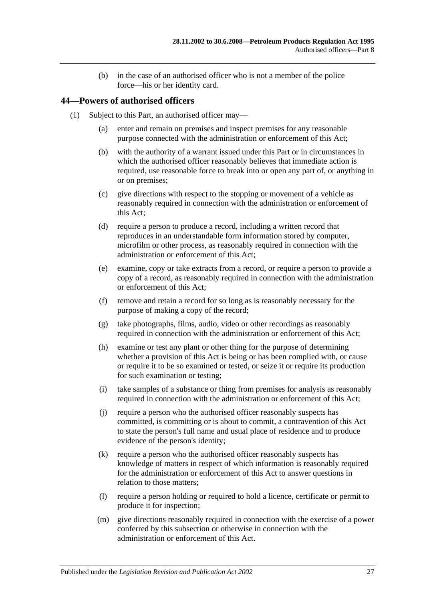(b) in the case of an authorised officer who is not a member of the police force—his or her identity card.

### <span id="page-26-1"></span><span id="page-26-0"></span>**44—Powers of authorised officers**

- (1) Subject to this Part, an authorised officer may—
	- (a) enter and remain on premises and inspect premises for any reasonable purpose connected with the administration or enforcement of this Act;
	- (b) with the authority of a warrant issued under this Part or in circumstances in which the authorised officer reasonably believes that immediate action is required, use reasonable force to break into or open any part of, or anything in or on premises;
	- (c) give directions with respect to the stopping or movement of a vehicle as reasonably required in connection with the administration or enforcement of this Act;
	- (d) require a person to produce a record, including a written record that reproduces in an understandable form information stored by computer, microfilm or other process, as reasonably required in connection with the administration or enforcement of this Act;
	- (e) examine, copy or take extracts from a record, or require a person to provide a copy of a record, as reasonably required in connection with the administration or enforcement of this Act;
	- (f) remove and retain a record for so long as is reasonably necessary for the purpose of making a copy of the record;
	- (g) take photographs, films, audio, video or other recordings as reasonably required in connection with the administration or enforcement of this Act;
	- (h) examine or test any plant or other thing for the purpose of determining whether a provision of this Act is being or has been complied with, or cause or require it to be so examined or tested, or seize it or require its production for such examination or testing;
	- (i) take samples of a substance or thing from premises for analysis as reasonably required in connection with the administration or enforcement of this Act;
	- (j) require a person who the authorised officer reasonably suspects has committed, is committing or is about to commit, a contravention of this Act to state the person's full name and usual place of residence and to produce evidence of the person's identity;
	- (k) require a person who the authorised officer reasonably suspects has knowledge of matters in respect of which information is reasonably required for the administration or enforcement of this Act to answer questions in relation to those matters;
	- (l) require a person holding or required to hold a licence, certificate or permit to produce it for inspection;
	- (m) give directions reasonably required in connection with the exercise of a power conferred by this subsection or otherwise in connection with the administration or enforcement of this Act.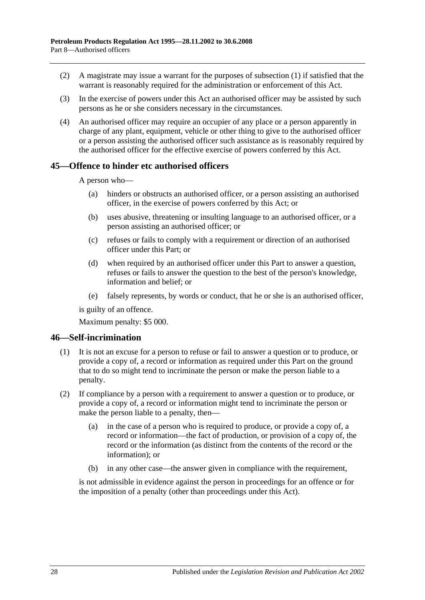- (2) A magistrate may issue a warrant for the purposes of [subsection](#page-26-1) (1) if satisfied that the warrant is reasonably required for the administration or enforcement of this Act.
- (3) In the exercise of powers under this Act an authorised officer may be assisted by such persons as he or she considers necessary in the circumstances.
- (4) An authorised officer may require an occupier of any place or a person apparently in charge of any plant, equipment, vehicle or other thing to give to the authorised officer or a person assisting the authorised officer such assistance as is reasonably required by the authorised officer for the effective exercise of powers conferred by this Act.

#### <span id="page-27-0"></span>**45—Offence to hinder etc authorised officers**

A person who—

- (a) hinders or obstructs an authorised officer, or a person assisting an authorised officer, in the exercise of powers conferred by this Act; or
- (b) uses abusive, threatening or insulting language to an authorised officer, or a person assisting an authorised officer; or
- (c) refuses or fails to comply with a requirement or direction of an authorised officer under this Part; or
- (d) when required by an authorised officer under this Part to answer a question, refuses or fails to answer the question to the best of the person's knowledge, information and belief; or
- (e) falsely represents, by words or conduct, that he or she is an authorised officer,

is guilty of an offence.

Maximum penalty: \$5 000.

#### <span id="page-27-1"></span>**46—Self-incrimination**

- (1) It is not an excuse for a person to refuse or fail to answer a question or to produce, or provide a copy of, a record or information as required under this Part on the ground that to do so might tend to incriminate the person or make the person liable to a penalty.
- (2) If compliance by a person with a requirement to answer a question or to produce, or provide a copy of, a record or information might tend to incriminate the person or make the person liable to a penalty, then—
	- (a) in the case of a person who is required to produce, or provide a copy of, a record or information—the fact of production, or provision of a copy of, the record or the information (as distinct from the contents of the record or the information); or
	- (b) in any other case—the answer given in compliance with the requirement,

is not admissible in evidence against the person in proceedings for an offence or for the imposition of a penalty (other than proceedings under this Act).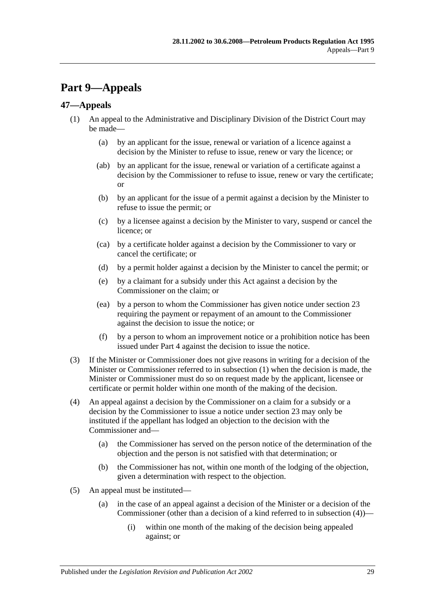## <span id="page-28-0"></span>**Part 9—Appeals**

## <span id="page-28-2"></span><span id="page-28-1"></span>**47—Appeals**

- (1) An appeal to the Administrative and Disciplinary Division of the District Court may be made—
	- (a) by an applicant for the issue, renewal or variation of a licence against a decision by the Minister to refuse to issue, renew or vary the licence; or
	- (ab) by an applicant for the issue, renewal or variation of a certificate against a decision by the Commissioner to refuse to issue, renew or vary the certificate; or
	- (b) by an applicant for the issue of a permit against a decision by the Minister to refuse to issue the permit; or
	- (c) by a licensee against a decision by the Minister to vary, suspend or cancel the licence; or
	- (ca) by a certificate holder against a decision by the Commissioner to vary or cancel the certificate; or
	- (d) by a permit holder against a decision by the Minister to cancel the permit; or
	- (e) by a claimant for a subsidy under this Act against a decision by the Commissioner on the claim; or
	- (ea) by a person to whom the Commissioner has given notice under [section](#page-13-0) 23 requiring the payment or repayment of an amount to the Commissioner against the decision to issue the notice; or
	- (f) by a person to whom an improvement notice or a prohibition notice has been issued under [Part 4](#page-16-2) against the decision to issue the notice.
- <span id="page-28-4"></span>(3) If the Minister or Commissioner does not give reasons in writing for a decision of the Minister or Commissioner referred to in [subsection](#page-28-2) (1) when the decision is made, the Minister or Commissioner must do so on request made by the applicant, licensee or certificate or permit holder within one month of the making of the decision.
- <span id="page-28-3"></span>(4) An appeal against a decision by the Commissioner on a claim for a subsidy or a decision by the Commissioner to issue a notice under [section](#page-13-0) 23 may only be instituted if the appellant has lodged an objection to the decision with the Commissioner and—
	- (a) the Commissioner has served on the person notice of the determination of the objection and the person is not satisfied with that determination; or
	- (b) the Commissioner has not, within one month of the lodging of the objection, given a determination with respect to the objection.
- (5) An appeal must be instituted—
	- (a) in the case of an appeal against a decision of the Minister or a decision of the Commissioner (other than a decision of a kind referred to in [subsection](#page-28-3) (4))—
		- (i) within one month of the making of the decision being appealed against; or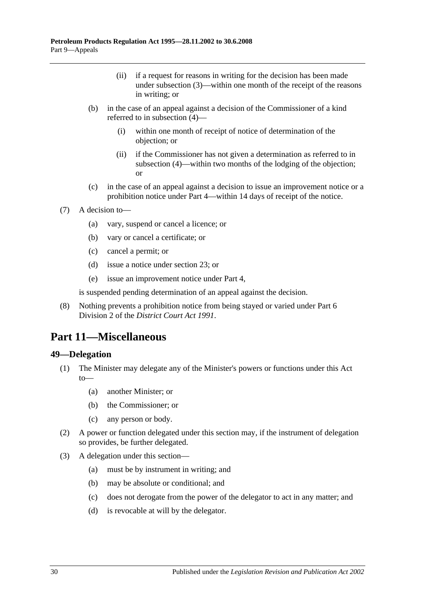- (ii) if a request for reasons in writing for the decision has been made under [subsection](#page-28-4) (3)—within one month of the receipt of the reasons in writing; or
- (b) in the case of an appeal against a decision of the Commissioner of a kind referred to in [subsection](#page-28-3) (4)—
	- (i) within one month of receipt of notice of determination of the objection; or
	- (ii) if the Commissioner has not given a determination as referred to in [subsection](#page-28-3) (4)—within two months of the lodging of the objection; or
- (c) in the case of an appeal against a decision to issue an improvement notice or a prohibition notice under [Part 4—](#page-16-2)within 14 days of receipt of the notice.
- (7) A decision to—
	- (a) vary, suspend or cancel a licence; or
	- (b) vary or cancel a certificate; or
	- (c) cancel a permit; or
	- (d) issue a notice under [section](#page-13-0) 23; or
	- (e) issue an improvement notice under [Part 4,](#page-16-2)

is suspended pending determination of an appeal against the decision.

(8) Nothing prevents a prohibition notice from being stayed or varied under Part 6 Division 2 of the *[District Court Act](http://www.legislation.sa.gov.au/index.aspx?action=legref&type=act&legtitle=District%20Court%20Act%201991) 1991*.

## <span id="page-29-0"></span>**Part 11—Miscellaneous**

## <span id="page-29-1"></span>**49—Delegation**

- (1) The Minister may delegate any of the Minister's powers or functions under this Act to—
	- (a) another Minister; or
	- (b) the Commissioner; or
	- (c) any person or body.
- (2) A power or function delegated under this section may, if the instrument of delegation so provides, be further delegated.
- (3) A delegation under this section—
	- (a) must be by instrument in writing; and
	- (b) may be absolute or conditional; and
	- (c) does not derogate from the power of the delegator to act in any matter; and
	- (d) is revocable at will by the delegator.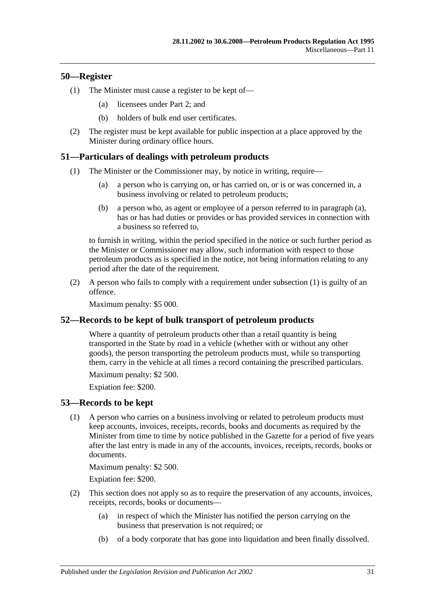## <span id="page-30-0"></span>**50—Register**

- (1) The Minister must cause a register to be kept of—
	- (a) licensees under [Part 2;](#page-7-1) and
	- (b) holders of bulk end user certificates.
- (2) The register must be kept available for public inspection at a place approved by the Minister during ordinary office hours.

## <span id="page-30-5"></span><span id="page-30-1"></span>**51—Particulars of dealings with petroleum products**

- <span id="page-30-4"></span>(1) The Minister or the Commissioner may, by notice in writing, require—
	- (a) a person who is carrying on, or has carried on, or is or was concerned in, a business involving or related to petroleum products;
	- (b) a person who, as agent or employee of a person referred to in [paragraph](#page-30-4) (a), has or has had duties or provides or has provided services in connection with a business so referred to,

to furnish in writing, within the period specified in the notice or such further period as the Minister or Commissioner may allow, such information with respect to those petroleum products as is specified in the notice, not being information relating to any period after the date of the requirement.

(2) A person who fails to comply with a requirement under [subsection](#page-30-5) (1) is guilty of an offence.

Maximum penalty: \$5 000.

## <span id="page-30-2"></span>**52—Records to be kept of bulk transport of petroleum products**

Where a quantity of petroleum products other than a retail quantity is being transported in the State by road in a vehicle (whether with or without any other goods), the person transporting the petroleum products must, while so transporting them, carry in the vehicle at all times a record containing the prescribed particulars.

Maximum penalty: \$2 500.

Expiation fee: \$200.

#### <span id="page-30-3"></span>**53—Records to be kept**

(1) A person who carries on a business involving or related to petroleum products must keep accounts, invoices, receipts, records, books and documents as required by the Minister from time to time by notice published in the Gazette for a period of five years after the last entry is made in any of the accounts, invoices, receipts, records, books or documents.

Maximum penalty: \$2 500.

Expiation fee: \$200.

- (2) This section does not apply so as to require the preservation of any accounts, invoices, receipts, records, books or documents—
	- (a) in respect of which the Minister has notified the person carrying on the business that preservation is not required; or
	- (b) of a body corporate that has gone into liquidation and been finally dissolved.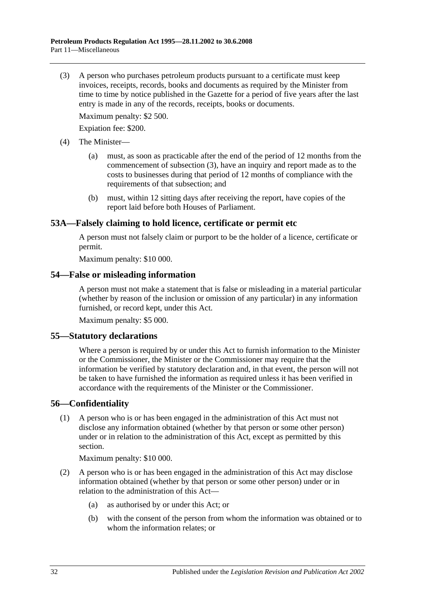<span id="page-31-4"></span>(3) A person who purchases petroleum products pursuant to a certificate must keep invoices, receipts, records, books and documents as required by the Minister from time to time by notice published in the Gazette for a period of five years after the last entry is made in any of the records, receipts, books or documents.

Maximum penalty: \$2 500.

Expiation fee: \$200.

- (4) The Minister—
	- (a) must, as soon as practicable after the end of the period of 12 months from the commencement of [subsection](#page-31-4) (3), have an inquiry and report made as to the costs to businesses during that period of 12 months of compliance with the requirements of that subsection; and
	- (b) must, within 12 sitting days after receiving the report, have copies of the report laid before both Houses of Parliament.

#### <span id="page-31-0"></span>**53A—Falsely claiming to hold licence, certificate or permit etc**

A person must not falsely claim or purport to be the holder of a licence, certificate or permit.

Maximum penalty: \$10 000.

#### <span id="page-31-1"></span>**54—False or misleading information**

A person must not make a statement that is false or misleading in a material particular (whether by reason of the inclusion or omission of any particular) in any information furnished, or record kept, under this Act.

Maximum penalty: \$5 000.

#### <span id="page-31-2"></span>**55—Statutory declarations**

Where a person is required by or under this Act to furnish information to the Minister or the Commissioner, the Minister or the Commissioner may require that the information be verified by statutory declaration and, in that event, the person will not be taken to have furnished the information as required unless it has been verified in accordance with the requirements of the Minister or the Commissioner.

## <span id="page-31-3"></span>**56—Confidentiality**

(1) A person who is or has been engaged in the administration of this Act must not disclose any information obtained (whether by that person or some other person) under or in relation to the administration of this Act, except as permitted by this section.

Maximum penalty: \$10 000.

- (2) A person who is or has been engaged in the administration of this Act may disclose information obtained (whether by that person or some other person) under or in relation to the administration of this Act—
	- (a) as authorised by or under this Act; or
	- (b) with the consent of the person from whom the information was obtained or to whom the information relates; or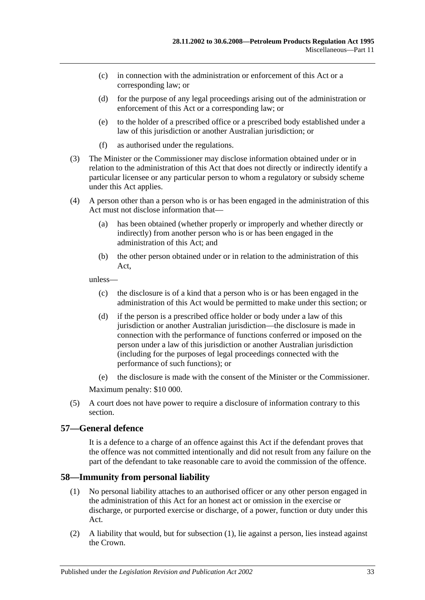- (c) in connection with the administration or enforcement of this Act or a corresponding law; or
- (d) for the purpose of any legal proceedings arising out of the administration or enforcement of this Act or a corresponding law; or
- (e) to the holder of a prescribed office or a prescribed body established under a law of this jurisdiction or another Australian jurisdiction; or
- (f) as authorised under the regulations.
- (3) The Minister or the Commissioner may disclose information obtained under or in relation to the administration of this Act that does not directly or indirectly identify a particular licensee or any particular person to whom a regulatory or subsidy scheme under this Act applies.
- (4) A person other than a person who is or has been engaged in the administration of this Act must not disclose information that—
	- (a) has been obtained (whether properly or improperly and whether directly or indirectly) from another person who is or has been engaged in the administration of this Act; and
	- (b) the other person obtained under or in relation to the administration of this Act,

unless—

- (c) the disclosure is of a kind that a person who is or has been engaged in the administration of this Act would be permitted to make under this section; or
- (d) if the person is a prescribed office holder or body under a law of this jurisdiction or another Australian jurisdiction—the disclosure is made in connection with the performance of functions conferred or imposed on the person under a law of this jurisdiction or another Australian jurisdiction (including for the purposes of legal proceedings connected with the performance of such functions); or
- (e) the disclosure is made with the consent of the Minister or the Commissioner.

Maximum penalty: \$10 000.

(5) A court does not have power to require a disclosure of information contrary to this section.

## <span id="page-32-0"></span>**57—General defence**

It is a defence to a charge of an offence against this Act if the defendant proves that the offence was not committed intentionally and did not result from any failure on the part of the defendant to take reasonable care to avoid the commission of the offence.

## <span id="page-32-2"></span><span id="page-32-1"></span>**58—Immunity from personal liability**

- (1) No personal liability attaches to an authorised officer or any other person engaged in the administration of this Act for an honest act or omission in the exercise or discharge, or purported exercise or discharge, of a power, function or duty under this Act.
- (2) A liability that would, but for [subsection](#page-32-2) (1), lie against a person, lies instead against the Crown.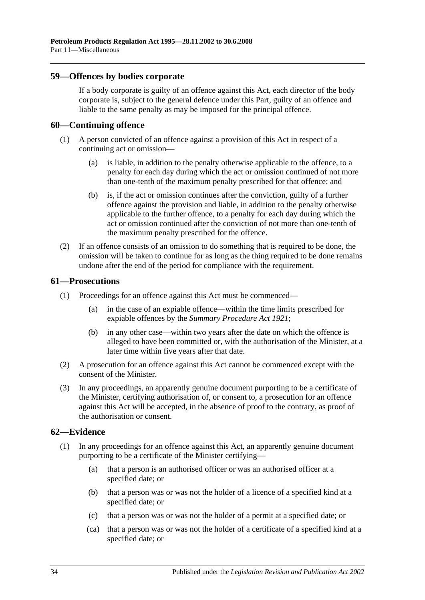#### <span id="page-33-0"></span>**59—Offences by bodies corporate**

If a body corporate is guilty of an offence against this Act, each director of the body corporate is, subject to the general defence under this Part, guilty of an offence and liable to the same penalty as may be imposed for the principal offence.

#### <span id="page-33-1"></span>**60—Continuing offence**

- (1) A person convicted of an offence against a provision of this Act in respect of a continuing act or omission—
	- (a) is liable, in addition to the penalty otherwise applicable to the offence, to a penalty for each day during which the act or omission continued of not more than one-tenth of the maximum penalty prescribed for that offence; and
	- (b) is, if the act or omission continues after the conviction, guilty of a further offence against the provision and liable, in addition to the penalty otherwise applicable to the further offence, to a penalty for each day during which the act or omission continued after the conviction of not more than one-tenth of the maximum penalty prescribed for the offence.
- (2) If an offence consists of an omission to do something that is required to be done, the omission will be taken to continue for as long as the thing required to be done remains undone after the end of the period for compliance with the requirement.

#### <span id="page-33-2"></span>**61—Prosecutions**

- (1) Proceedings for an offence against this Act must be commenced—
	- (a) in the case of an expiable offence—within the time limits prescribed for expiable offences by the *[Summary Procedure Act](http://www.legislation.sa.gov.au/index.aspx?action=legref&type=act&legtitle=Summary%20Procedure%20Act%201921) 1921*;
	- (b) in any other case—within two years after the date on which the offence is alleged to have been committed or, with the authorisation of the Minister, at a later time within five years after that date.
- (2) A prosecution for an offence against this Act cannot be commenced except with the consent of the Minister.
- (3) In any proceedings, an apparently genuine document purporting to be a certificate of the Minister, certifying authorisation of, or consent to, a prosecution for an offence against this Act will be accepted, in the absence of proof to the contrary, as proof of the authorisation or consent.

## <span id="page-33-3"></span>**62—Evidence**

- (1) In any proceedings for an offence against this Act, an apparently genuine document purporting to be a certificate of the Minister certifying—
	- (a) that a person is an authorised officer or was an authorised officer at a specified date; or
	- (b) that a person was or was not the holder of a licence of a specified kind at a specified date; or
	- (c) that a person was or was not the holder of a permit at a specified date; or
	- (ca) that a person was or was not the holder of a certificate of a specified kind at a specified date; or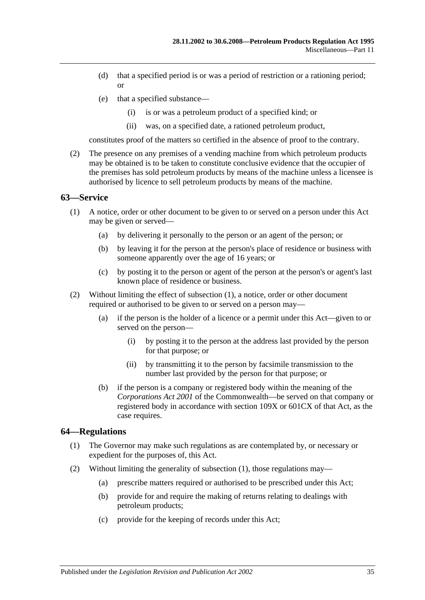- (d) that a specified period is or was a period of restriction or a rationing period; or
- (e) that a specified substance—
	- (i) is or was a petroleum product of a specified kind; or
	- (ii) was, on a specified date, a rationed petroleum product,

constitutes proof of the matters so certified in the absence of proof to the contrary.

(2) The presence on any premises of a vending machine from which petroleum products may be obtained is to be taken to constitute conclusive evidence that the occupier of the premises has sold petroleum products by means of the machine unless a licensee is authorised by licence to sell petroleum products by means of the machine.

#### <span id="page-34-2"></span><span id="page-34-0"></span>**63—Service**

- (1) A notice, order or other document to be given to or served on a person under this Act may be given or served—
	- (a) by delivering it personally to the person or an agent of the person; or
	- (b) by leaving it for the person at the person's place of residence or business with someone apparently over the age of 16 years; or
	- (c) by posting it to the person or agent of the person at the person's or agent's last known place of residence or business.
- (2) Without limiting the effect of [subsection](#page-34-2) (1), a notice, order or other document required or authorised to be given to or served on a person may—
	- (a) if the person is the holder of a licence or a permit under this Act—given to or served on the person—
		- (i) by posting it to the person at the address last provided by the person for that purpose; or
		- (ii) by transmitting it to the person by facsimile transmission to the number last provided by the person for that purpose; or
	- (b) if the person is a company or registered body within the meaning of the *Corporations Act 2001* of the Commonwealth—be served on that company or registered body in accordance with section 109X or 601CX of that Act, as the case requires.

#### <span id="page-34-3"></span><span id="page-34-1"></span>**64—Regulations**

- (1) The Governor may make such regulations as are contemplated by, or necessary or expedient for the purposes of, this Act.
- (2) Without limiting the generality of [subsection](#page-34-3) (1), those regulations may—
	- (a) prescribe matters required or authorised to be prescribed under this Act;
	- (b) provide for and require the making of returns relating to dealings with petroleum products;
	- (c) provide for the keeping of records under this Act;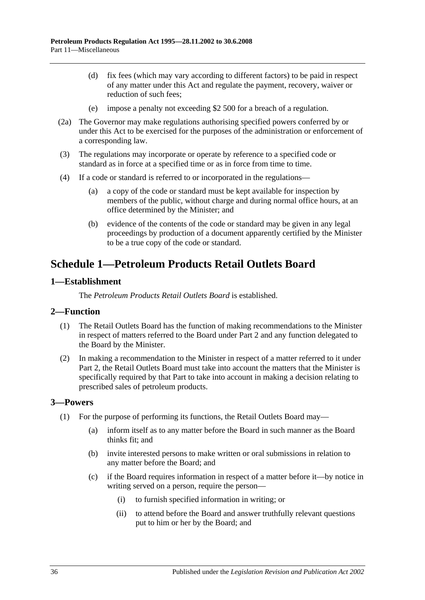- (d) fix fees (which may vary according to different factors) to be paid in respect of any matter under this Act and regulate the payment, recovery, waiver or reduction of such fees;
- (e) impose a penalty not exceeding \$2 500 for a breach of a regulation.
- (2a) The Governor may make regulations authorising specified powers conferred by or under this Act to be exercised for the purposes of the administration or enforcement of a corresponding law.
- (3) The regulations may incorporate or operate by reference to a specified code or standard as in force at a specified time or as in force from time to time.
- (4) If a code or standard is referred to or incorporated in the regulations—
	- (a) a copy of the code or standard must be kept available for inspection by members of the public, without charge and during normal office hours, at an office determined by the Minister; and
	- (b) evidence of the contents of the code or standard may be given in any legal proceedings by production of a document apparently certified by the Minister to be a true copy of the code or standard.

## <span id="page-35-0"></span>**Schedule 1—Petroleum Products Retail Outlets Board**

## <span id="page-35-1"></span>**1—Establishment**

The *Petroleum Products Retail Outlets Board* is established.

## <span id="page-35-2"></span>**2—Function**

- (1) The Retail Outlets Board has the function of making recommendations to the Minister in respect of matters referred to the Board under [Part 2](#page-7-1) and any function delegated to the Board by the Minister.
- (2) In making a recommendation to the Minister in respect of a matter referred to it under [Part 2,](#page-7-1) the Retail Outlets Board must take into account the matters that the Minister is specifically required by that Part to take into account in making a decision relating to prescribed sales of petroleum products.

## <span id="page-35-3"></span>**3—Powers**

- <span id="page-35-4"></span>(1) For the purpose of performing its functions, the Retail Outlets Board may—
	- (a) inform itself as to any matter before the Board in such manner as the Board thinks fit; and
	- (b) invite interested persons to make written or oral submissions in relation to any matter before the Board; and
	- (c) if the Board requires information in respect of a matter before it—by notice in writing served on a person, require the person—
		- (i) to furnish specified information in writing; or
		- (ii) to attend before the Board and answer truthfully relevant questions put to him or her by the Board; and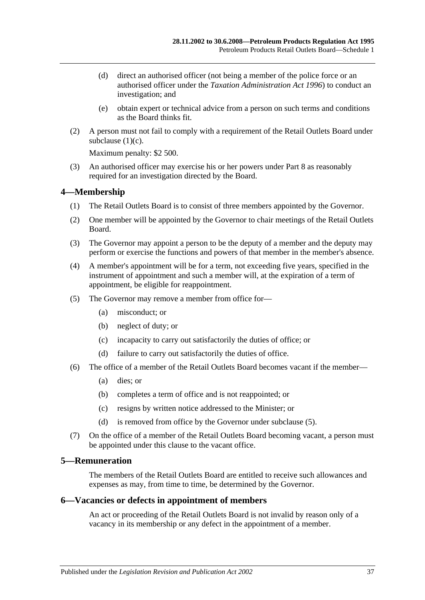- (d) direct an authorised officer (not being a member of the police force or an authorised officer under the *[Taxation Administration Act](http://www.legislation.sa.gov.au/index.aspx?action=legref&type=act&legtitle=Taxation%20Administration%20Act%201996) 1996*) to conduct an investigation; and
- (e) obtain expert or technical advice from a person on such terms and conditions as the Board thinks fit.
- (2) A person must not fail to comply with a requirement of the Retail Outlets Board under [subclause](#page-35-4) (1)(c).

Maximum penalty: \$2 500.

(3) An authorised officer may exercise his or her powers under [Part 8](#page-25-2) as reasonably required for an investigation directed by the Board.

## <span id="page-36-0"></span>**4—Membership**

- (1) The Retail Outlets Board is to consist of three members appointed by the Governor.
- (2) One member will be appointed by the Governor to chair meetings of the Retail Outlets Board.
- (3) The Governor may appoint a person to be the deputy of a member and the deputy may perform or exercise the functions and powers of that member in the member's absence.
- (4) A member's appointment will be for a term, not exceeding five years, specified in the instrument of appointment and such a member will, at the expiration of a term of appointment, be eligible for reappointment.
- <span id="page-36-3"></span>(5) The Governor may remove a member from office for—
	- (a) misconduct; or
	- (b) neglect of duty; or
	- (c) incapacity to carry out satisfactorily the duties of office; or
	- (d) failure to carry out satisfactorily the duties of office.
- (6) The office of a member of the Retail Outlets Board becomes vacant if the member—
	- (a) dies; or
	- (b) completes a term of office and is not reappointed; or
	- (c) resigns by written notice addressed to the Minister; or
	- (d) is removed from office by the Governor under [subclause](#page-36-3) (5).
- (7) On the office of a member of the Retail Outlets Board becoming vacant, a person must be appointed under this clause to the vacant office.

## <span id="page-36-1"></span>**5—Remuneration**

The members of the Retail Outlets Board are entitled to receive such allowances and expenses as may, from time to time, be determined by the Governor.

#### <span id="page-36-2"></span>**6—Vacancies or defects in appointment of members**

An act or proceeding of the Retail Outlets Board is not invalid by reason only of a vacancy in its membership or any defect in the appointment of a member.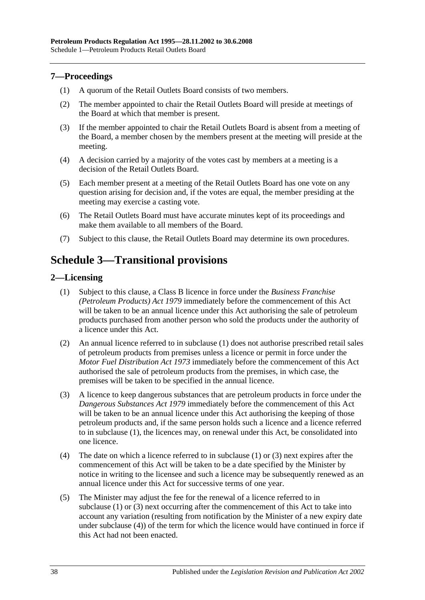## <span id="page-37-0"></span>**7—Proceedings**

- (1) A quorum of the Retail Outlets Board consists of two members.
- (2) The member appointed to chair the Retail Outlets Board will preside at meetings of the Board at which that member is present.
- (3) If the member appointed to chair the Retail Outlets Board is absent from a meeting of the Board, a member chosen by the members present at the meeting will preside at the meeting.
- (4) A decision carried by a majority of the votes cast by members at a meeting is a decision of the Retail Outlets Board.
- (5) Each member present at a meeting of the Retail Outlets Board has one vote on any question arising for decision and, if the votes are equal, the member presiding at the meeting may exercise a casting vote.
- (6) The Retail Outlets Board must have accurate minutes kept of its proceedings and make them available to all members of the Board.
- (7) Subject to this clause, the Retail Outlets Board may determine its own procedures.

## <span id="page-37-1"></span>**Schedule 3—Transitional provisions**

## <span id="page-37-3"></span><span id="page-37-2"></span>**2—Licensing**

- (1) Subject to this clause, a Class B licence in force under the *[Business Franchise](http://www.legislation.sa.gov.au/index.aspx?action=legref&type=act&legtitle=Business%20Franchise%20(Petroleum%20Products)%20Act%201979)  [\(Petroleum Products\) Act](http://www.legislation.sa.gov.au/index.aspx?action=legref&type=act&legtitle=Business%20Franchise%20(Petroleum%20Products)%20Act%201979) 1979* immediately before the commencement of this Act will be taken to be an annual licence under this Act authorising the sale of petroleum products purchased from another person who sold the products under the authority of a licence under this Act.
- (2) An annual licence referred to in [subclause](#page-37-3) (1) does not authorise prescribed retail sales of petroleum products from premises unless a licence or permit in force under the *[Motor Fuel Distribution Act](http://www.legislation.sa.gov.au/index.aspx?action=legref&type=act&legtitle=Motor%20Fuel%20Distribution%20Act%201973) 1973* immediately before the commencement of this Act authorised the sale of petroleum products from the premises, in which case, the premises will be taken to be specified in the annual licence.
- <span id="page-37-4"></span>(3) A licence to keep dangerous substances that are petroleum products in force under the *[Dangerous Substances Act](http://www.legislation.sa.gov.au/index.aspx?action=legref&type=act&legtitle=Dangerous%20Substances%20Act%201979) 1979* immediately before the commencement of this Act will be taken to be an annual licence under this Act authorising the keeping of those petroleum products and, if the same person holds such a licence and a licence referred to in [subclause](#page-37-3) (1), the licences may, on renewal under this Act, be consolidated into one licence.
- <span id="page-37-5"></span>(4) The date on which a licence referred to in [subclause](#page-37-3) (1) or [\(3\)](#page-37-4) next expires after the commencement of this Act will be taken to be a date specified by the Minister by notice in writing to the licensee and such a licence may be subsequently renewed as an annual licence under this Act for successive terms of one year.
- (5) The Minister may adjust the fee for the renewal of a licence referred to in [subclause](#page-37-3) (1) or [\(3\)](#page-37-4) next occurring after the commencement of this Act to take into account any variation (resulting from notification by the Minister of a new expiry date under [subclause](#page-37-5) (4)) of the term for which the licence would have continued in force if this Act had not been enacted.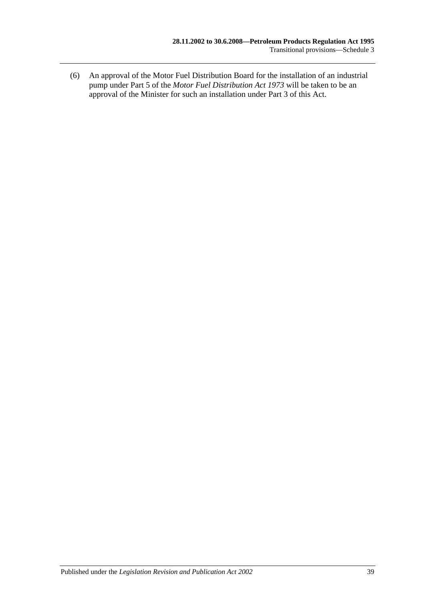(6) An approval of the Motor Fuel Distribution Board for the installation of an industrial pump under Part 5 of the *[Motor Fuel Distribution Act](http://www.legislation.sa.gov.au/index.aspx?action=legref&type=act&legtitle=Motor%20Fuel%20Distribution%20Act%201973) 1973* will be taken to be an approval of the Minister for such an installation under [Part 3](#page-16-0) of this Act.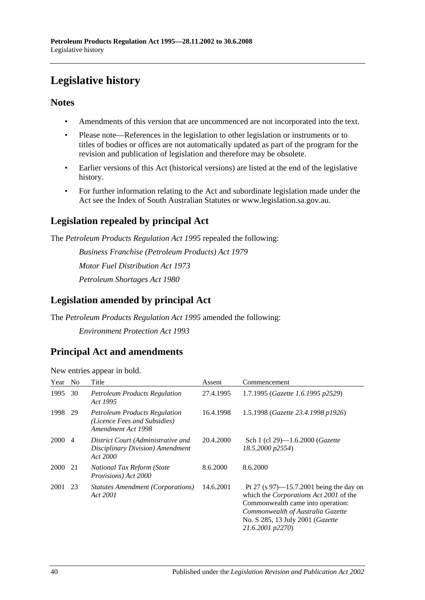## <span id="page-39-0"></span>**Legislative history**

## **Notes**

- Amendments of this version that are uncommenced are not incorporated into the text.
- Please note—References in the legislation to other legislation or instruments or to titles of bodies or offices are not automatically updated as part of the program for the revision and publication of legislation and therefore may be obsolete.
- Earlier versions of this Act (historical versions) are listed at the end of the legislative history.
- For further information relating to the Act and subordinate legislation made under the Act see the Index of South Australian Statutes or www.legislation.sa.gov.au.

## **Legislation repealed by principal Act**

The *Petroleum Products Regulation Act 1995* repealed the following:

*Business Franchise (Petroleum Products) Act 1979 Motor Fuel Distribution Act 1973 Petroleum Shortages Act 1980*

## **Legislation amended by principal Act**

The *Petroleum Products Regulation Act 1995* amended the following: *Environment Protection Act 1993*

## **Principal Act and amendments**

| Year | N <sub>0</sub> | Title                                                                                      | Assent    | Commencement                                                                                                                                                                                                           |
|------|----------------|--------------------------------------------------------------------------------------------|-----------|------------------------------------------------------------------------------------------------------------------------------------------------------------------------------------------------------------------------|
| 1995 | 30             | <b>Petroleum Products Regulation</b><br>Act 1995                                           | 27.4.1995 | 1.7.1995 (Gazette 1.6.1995 p2529)                                                                                                                                                                                      |
| 1998 | 29             | <b>Petroleum Products Regulation</b><br>(Licence Fees and Subsidies)<br>Amendment Act 1998 | 16.4.1998 | 1.5.1998 (Gazette 23.4.1998 p1926)                                                                                                                                                                                     |
| 2000 | $\overline{4}$ | District Court (Administrative and<br>Disciplinary Division) Amendment<br>Act 2000         | 20.4.2000 | Sch 1 (cl 29)—1.6.2000 ( <i>Gazette</i><br>18.5.2000 p2554)                                                                                                                                                            |
| 2000 | 21             | National Tax Reform (State<br>Provisions) Act 2000                                         | 8.6.2000  | 8.6.2000                                                                                                                                                                                                               |
| 2001 | 23             | Statutes Amendment (Corporations)<br>Act 2001                                              | 14.6.2001 | Pt 27 (s $97$ )—15.7.2001 being the day on<br>which the Corporations Act 2001 of the<br>Commonwealth came into operation:<br>Commonwealth of Australia Gazette<br>No. S 285, 13 July 2001 (Gazette<br>21.6.2001 p2270) |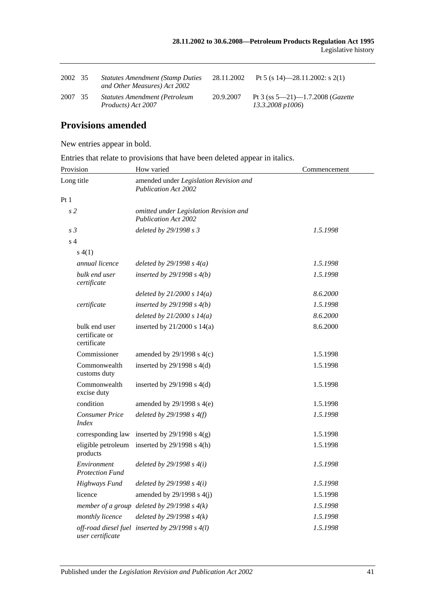| 2002 35 | <b>Statutes Amendment (Stamp Duties)</b><br>and Other Measures) Act 2002 | 28.11.2002 | Pt 5 (s 14)-28.11.2002: s 2(1)                                  |
|---------|--------------------------------------------------------------------------|------------|-----------------------------------------------------------------|
| 2007 35 | <b>Statutes Amendment (Petroleum</b><br>Products) Act 2007               | 20.9.2007  | Pt 3 (ss $5-21$ )-1.7.2008 ( <i>Gazette</i><br>13.3.2008 p1006) |

## **Provisions amended**

New entries appear in bold.

Entries that relate to provisions that have been deleted appear in italics.

| Provision                                      | How varied                                                            | Commencement |
|------------------------------------------------|-----------------------------------------------------------------------|--------------|
| Long title                                     | amended under Legislation Revision and<br><b>Publication Act 2002</b> |              |
| Pt1                                            |                                                                       |              |
| s <sub>2</sub>                                 | omitted under Legislation Revision and<br><b>Publication Act 2002</b> |              |
| s <sub>3</sub>                                 | deleted by 29/1998 s 3                                                | 1.5.1998     |
| s <sub>4</sub>                                 |                                                                       |              |
| s(4(1))                                        |                                                                       |              |
| annual licence                                 | deleted by $29/1998 s 4(a)$                                           | 1.5.1998     |
| bulk end user<br>certificate                   | inserted by $29/1998 s 4(b)$                                          | 1.5.1998     |
|                                                | deleted by $21/2000 s 14(a)$                                          | 8.6.2000     |
| certificate                                    | inserted by $29/1998 s 4(b)$                                          | 1.5.1998     |
|                                                | deleted by $21/2000 s 14(a)$                                          | 8.6.2000     |
| bulk end user<br>certificate or<br>certificate | inserted by $21/2000$ s $14(a)$                                       | 8.6.2000     |
| Commissioner                                   | amended by $29/1998$ s $4(c)$                                         | 1.5.1998     |
| Commonwealth<br>customs duty                   | inserted by $29/1998$ s $4(d)$                                        | 1.5.1998     |
| Commonwealth<br>excise duty                    | inserted by $29/1998$ s $4(d)$                                        | 1.5.1998     |
| condition                                      | amended by $29/1998$ s $4(e)$                                         | 1.5.1998     |
| <b>Consumer Price</b><br><i>Index</i>          | deleted by $29/1998 s 4(f)$                                           | 1.5.1998     |
| corresponding law                              | inserted by $29/1998$ s $4(g)$                                        | 1.5.1998     |
| eligible petroleum<br>products                 | inserted by $29/1998$ s $4(h)$                                        | 1.5.1998     |
| Environment<br><b>Protection Fund</b>          | deleted by $29/1998 s 4(i)$                                           | 1.5.1998     |
| Highways Fund                                  | deleted by $29/1998 s 4(i)$                                           | 1.5.1998     |
| licence                                        | amended by $29/1998$ s $4(j)$                                         | 1.5.1998     |
|                                                | member of a group deleted by $29/1998 s 4(k)$                         | 1.5.1998     |
| monthly licence                                | deleted by $29/1998 s 4(k)$                                           | 1.5.1998     |
| user certificate                               | off-road diesel fuel inserted by 29/1998 s 4(l)                       | 1.5.1998     |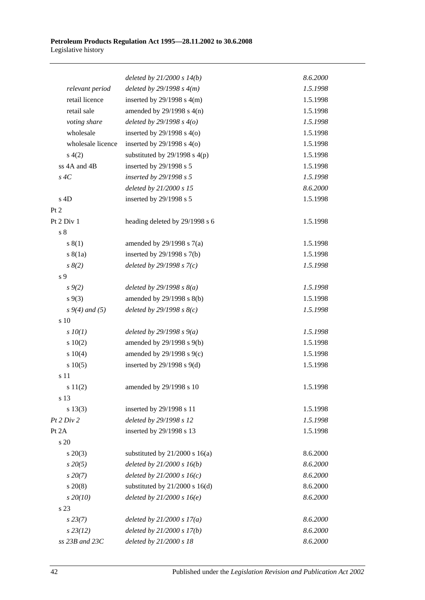|                   | deleted by $21/2000 s 14(b)$       | 8.6.2000 |
|-------------------|------------------------------------|----------|
| relevant period   | deleted by $29/1998 s 4(m)$        | 1.5.1998 |
| retail licence    | inserted by $29/1998$ s $4(m)$     | 1.5.1998 |
| retail sale       | amended by $29/1998$ s $4(n)$      | 1.5.1998 |
| voting share      | deleted by $29/1998 s 4(o)$        | 1.5.1998 |
| wholesale         | inserted by $29/1998$ s $4(0)$     | 1.5.1998 |
| wholesale licence | inserted by $29/1998$ s $4(0)$     | 1.5.1998 |
| s(4(2)            | substituted by $29/1998$ s $4(p)$  | 1.5.1998 |
| ss 4A and 4B      | inserted by 29/1998 s 5            | 1.5.1998 |
| $s \, 4C$         | inserted by 29/1998 s 5            | 1.5.1998 |
|                   | deleted by 21/2000 s 15            | 8.6.2000 |
| $s$ 4D            | inserted by 29/1998 s 5            | 1.5.1998 |
| Pt 2              |                                    |          |
| Pt 2 Div 1        | heading deleted by 29/1998 s 6     | 1.5.1998 |
| s <sub>8</sub>    |                                    |          |
| s(1)              | amended by $29/1998$ s $7(a)$      | 1.5.1998 |
| s(8(1a))          | inserted by $29/1998$ s $7(b)$     | 1.5.1998 |
| $s \, 8(2)$       | deleted by $29/1998 s 7(c)$        | 1.5.1998 |
| s 9               |                                    |          |
| $s \, 9(2)$       | deleted by $29/1998 s 8(a)$        | 1.5.1998 |
| $s \, 9(3)$       | amended by 29/1998 s 8(b)          | 1.5.1998 |
| $s\,9(4)$ and (5) | deleted by $29/1998 s 8(c)$        | 1.5.1998 |
| s 10              |                                    |          |
| $s$ $10(1)$       | deleted by $29/1998 s 9(a)$        | 1.5.1998 |
| 10(2)             | amended by 29/1998 s 9(b)          | 1.5.1998 |
| 10(4)             | amended by 29/1998 s 9(c)          | 1.5.1998 |
| s 10(5)           | inserted by $29/1998$ s $9(d)$     | 1.5.1998 |
| s 11              |                                    |          |
| s 11(2)           | amended by 29/1998 s 10            | 1.5.1998 |
| s 13              |                                    |          |
| s 13(3)           | inserted by 29/1998 s 11           | 1.5.1998 |
| Pt 2 Div 2        | deleted by 29/1998 s 12            | 1.5.1998 |
| Pt 2A             | inserted by 29/1998 s 13           | 1.5.1998 |
| s 20              |                                    |          |
| $s\ 20(3)$        | substituted by $21/2000$ s $16(a)$ | 8.6.2000 |
| $s\,20(5)$        | deleted by $21/2000 s 16(b)$       | 8.6.2000 |
| $s\,20(7)$        | deleted by $21/2000 s 16(c)$       | 8.6.2000 |
| $s\ 20(8)$        | substituted by $21/2000$ s $16(d)$ | 8.6.2000 |
| $s\,20(10)$       | deleted by $21/2000 s 16(e)$       | 8.6.2000 |
| s 23              |                                    |          |
| s 23(7)           | deleted by $21/2000 s 17(a)$       | 8.6.2000 |
| $s\,23(12)$       | deleted by $21/2000 s 17(b)$       | 8.6.2000 |
| ss 23B and 23C    | deleted by 21/2000 s 18            | 8.6.2000 |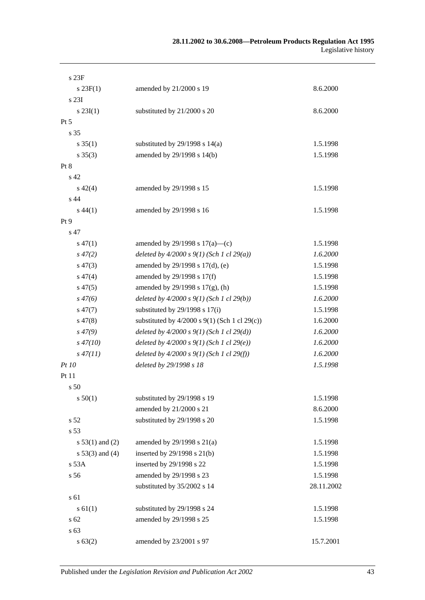| s23F              |                                                   |            |
|-------------------|---------------------------------------------------|------------|
| $s \, 23F(1)$     | amended by 21/2000 s 19                           | 8.6.2000   |
| s 23I             |                                                   |            |
| $s \, 23I(1)$     | substituted by 21/2000 s 20                       | 8.6.2000   |
| Pt 5              |                                                   |            |
| s 35              |                                                   |            |
| $s \, 35(1)$      | substituted by $29/1998$ s $14(a)$                | 1.5.1998   |
| $s \; 35(3)$      | amended by 29/1998 s 14(b)                        | 1.5.1998   |
| Pt 8              |                                                   |            |
| s 42              |                                                   |            |
| $s\ 42(4)$        | amended by 29/1998 s 15                           | 1.5.1998   |
| s 44              |                                                   |            |
| $s\,44(1)$        | amended by 29/1998 s 16                           | 1.5.1998   |
| Pt 9              |                                                   |            |
| s 47              |                                                   |            |
| $s\,47(1)$        | amended by 29/1998 s $17(a)$ —(c)                 | 1.5.1998   |
| $s\,47(2)$        | deleted by $4/2000 s 9(1)$ (Sch 1 cl 29(a))       | 1.6.2000   |
| $s\,47(3)$        | amended by 29/1998 s 17(d), (e)                   | 1.5.1998   |
| $s\,47(4)$        | amended by 29/1998 s 17(f)                        | 1.5.1998   |
| $s\,47(5)$        | amended by $29/1998$ s $17(g)$ , (h)              | 1.5.1998   |
| $s\,47(6)$        | deleted by $4/2000 s 9(1)$ (Sch 1 cl 29(b))       | 1.6.2000   |
| $s\,47(7)$        | substituted by 29/1998 s 17(i)                    | 1.5.1998   |
| $s\,47(8)$        | substituted by $4/2000$ s $9(1)$ (Sch 1 cl 29(c)) | 1.6.2000   |
| $s\,47(9)$        | deleted by $4/2000 s 9(1)$ (Sch 1 cl 29(d))       | 1.6.2000   |
| $s\,47(10)$       | deleted by $4/2000 s 9(1)$ (Sch 1 cl 29(e))       | 1.6.2000   |
| $s\,47(11)$       | deleted by $4/2000 s 9(1)$ (Sch 1 cl 29(f))       | 1.6.2000   |
| <i>Pt 10</i>      | deleted by 29/1998 s 18                           | 1.5.1998   |
| Pt 11             |                                                   |            |
| s 50              |                                                   |            |
| s 50(1)           | substituted by 29/1998 s 19                       | 1.5.1998   |
|                   | amended by 21/2000 s 21                           | 8.6.2000   |
| s 52              | substituted by 29/1998 s 20                       | 1.5.1998   |
| s 53              |                                                   |            |
| s $53(1)$ and (2) | amended by $29/1998$ s $21(a)$                    | 1.5.1998   |
| $s 53(3)$ and (4) | inserted by 29/1998 s 21(b)                       | 1.5.1998   |
| s 53A             | inserted by 29/1998 s 22                          | 1.5.1998   |
| s 56              | amended by 29/1998 s 23                           | 1.5.1998   |
|                   | substituted by 35/2002 s 14                       | 28.11.2002 |
| s 61              |                                                   |            |
| s 61(1)           | substituted by 29/1998 s 24                       | 1.5.1998   |
| s <sub>62</sub>   | amended by 29/1998 s 25                           | 1.5.1998   |
| s 63              |                                                   |            |
| s 63(2)           | amended by 23/2001 s 97                           | 15.7.2001  |